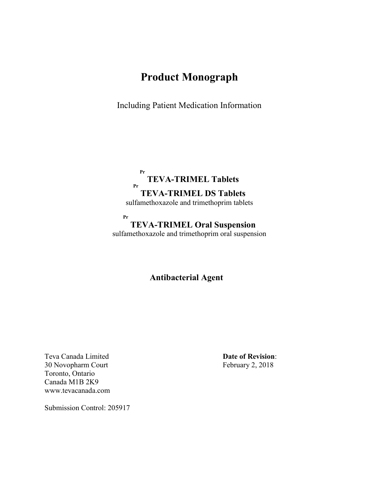# **Product Monograph**

Including Patient Medication Information

### **Pr TEVA-TRIMEL Tablets Pr TEVA-TRIMEL DS Tablets**

sulfamethoxazole and trimethoprim tablets

#### **Pr TEVA-TRIMEL Oral Suspension**

sulfamethoxazole and trimethoprim oral suspension

## **Antibacterial Agent**

Teva Canada Limited **Date of Revision**: 30 Novopharm Court February 2, 2018 Toronto, Ontario Canada M1B 2K9 www.tevacanada.com

Submission Control: 205917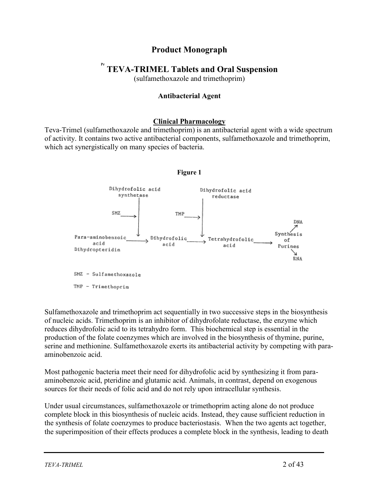## **Product Monograph**

#### **Pr TEVA-TRIMEL Tablets and Oral Suspension**

(sulfamethoxazole and trimethoprim)

## **Antibacterial Agent**

#### **Clinical Pharmacology**

Teva-Trimel (sulfamethoxazole and trimethoprim) is an antibacterial agent with a wide spectrum of activity. It contains two active antibacterial components, sulfamethoxazole and trimethoprim, which act synergistically on many species of bacteria.

**Figure 1** 



Sulfamethoxazole and trimethoprim act sequentially in two successive steps in the biosynthesis of nucleic acids. Trimethoprim is an inhibitor of dihydrofolate reductase, the enzyme which reduces dihydrofolic acid to its tetrahydro form. This biochemical step is essential in the production of the folate coenzymes which are involved in the biosynthesis of thymine, purine, serine and methionine. Sulfamethoxazole exerts its antibacterial activity by competing with paraaminobenzoic acid.

Most pathogenic bacteria meet their need for dihydrofolic acid by synthesizing it from paraaminobenzoic acid, pteridine and glutamic acid. Animals, in contrast, depend on exogenous sources for their needs of folic acid and do not rely upon intracellular synthesis.

Under usual circumstances, sulfamethoxazole or trimethoprim acting alone do not produce complete block in this biosynthesis of nucleic acids. Instead, they cause sufficient reduction in the synthesis of folate coenzymes to produce bacteriostasis. When the two agents act together, the superimposition of their effects produces a complete block in the synthesis, leading to death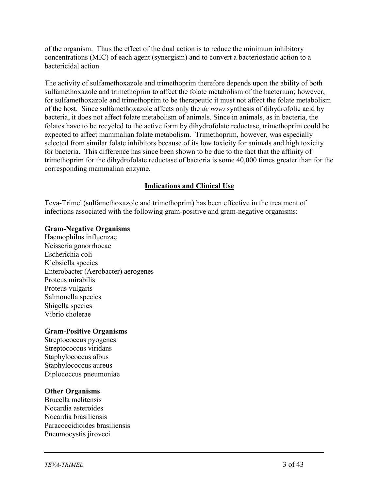of the organism. Thus the effect of the dual action is to reduce the minimum inhibitory concentrations (MIC) of each agent (synergism) and to convert a bacteriostatic action to a bactericidal action.

The activity of sulfamethoxazole and trimethoprim therefore depends upon the ability of both sulfamethoxazole and trimethoprim to affect the folate metabolism of the bacterium; however, for sulfamethoxazole and trimethoprim to be therapeutic it must not affect the folate metabolism of the host. Since sulfamethoxazole affects only the *de novo* synthesis of dihydrofolic acid by bacteria, it does not affect folate metabolism of animals. Since in animals, as in bacteria, the folates have to be recycled to the active form by dihydrofolate reductase, trimethoprim could be expected to affect mammalian folate metabolism. Trimethoprim, however, was especially selected from similar folate inhibitors because of its low toxicity for animals and high toxicity for bacteria. This difference has since been shown to be due to the fact that the affinity of trimethoprim for the dihydrofolate reductase of bacteria is some 40,000 times greater than for the corresponding mammalian enzyme.

## **Indications and Clinical Use**

Teva-Trimel (sulfamethoxazole and trimethoprim) has been effective in the treatment of infections associated with the following gram-positive and gram-negative organisms:

### **Gram-Negative Organisms**

Haemophilus influenzae Neisseria gonorrhoeae Escherichia coli Klebsiella species Enterobacter (Aerobacter) aerogenes Proteus mirabilis Proteus vulgaris Salmonella species Shigella species Vibrio cholerae

## **Gram-Positive Organisms**

Streptococcus pyogenes Streptococcus viridans Staphylococcus albus Staphylococcus aureus Diplococcus pneumoniae

### **Other Organisms**

Brucella melitensis Nocardia asteroides Nocardia brasiliensis Paracoccidioides brasiliensis Pneumocystis jiroveci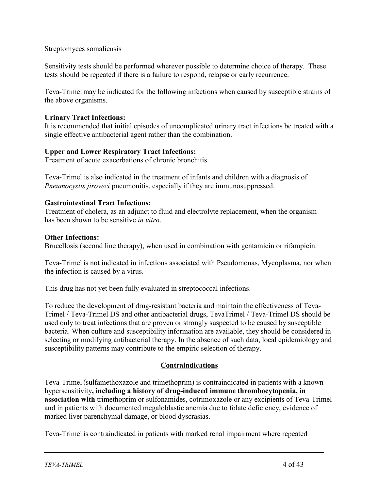## Streptomyces somaliensis

Sensitivity tests should be performed wherever possible to determine choice of therapy. These tests should be repeated if there is a failure to respond, relapse or early recurrence.

Teva-Trimel may be indicated for the following infections when caused by susceptible strains of the above organisms.

## **Urinary Tract Infections:**

It is recommended that initial episodes of uncomplicated urinary tract infections be treated with a single effective antibacterial agent rather than the combination.

## **Upper and Lower Respiratory Tract Infections:**

Treatment of acute exacerbations of chronic bronchitis.

Teva-Trimel is also indicated in the treatment of infants and children with a diagnosis of *Pneumocystis jiroveci* pneumonitis, especially if they are immunosuppressed.

## **Gastrointestinal Tract Infections:**

Treatment of cholera, as an adjunct to fluid and electrolyte replacement, when the organism has been shown to be sensitive *in vitro*.

## **Other Infections:**

Brucellosis (second line therapy), when used in combination with gentamicin or rifampicin.

Teva-Trimel is not indicated in infections associated with Pseudomonas, Mycoplasma, nor when the infection is caused by a virus.

This drug has not yet been fully evaluated in streptococcal infections.

To reduce the development of drug-resistant bacteria and maintain the effectiveness of Teva-Trimel / Teva-Trimel DS and other antibacterial drugs, TevaTrimel / Teva-Trimel DS should be used only to treat infections that are proven or strongly suspected to be caused by susceptible bacteria. When culture and susceptibility information are available, they should be considered in selecting or modifying antibacterial therapy. In the absence of such data, local epidemiology and susceptibility patterns may contribute to the empiric selection of therapy.

## **Contraindications**

Teva-Trimel (sulfamethoxazole and trimethoprim) is contraindicated in patients with a known hypersensitivity**, including a history of drug-induced immune thrombocytopenia, in association with** trimethoprim or sulfonamides, cotrimoxazole or any excipients of Teva-Trimel and in patients with documented megaloblastic anemia due to folate deficiency, evidence of marked liver parenchymal damage, or blood dyscrasias.

Teva-Trimel is contraindicated in patients with marked renal impairment where repeated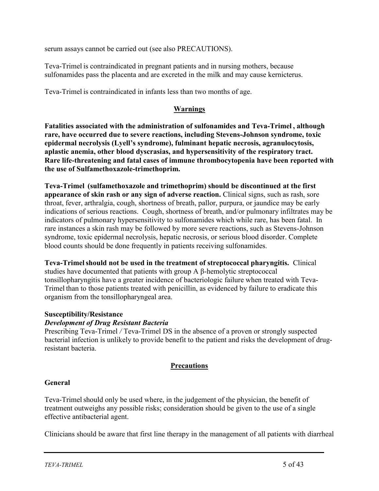serum assays cannot be carried out (see also PRECAUTIONS).

Teva-Trimel is contraindicated in pregnant patients and in nursing mothers, because sulfonamides pass the placenta and are excreted in the milk and may cause kernicterus.

Teva-Trimel is contraindicated in infants less than two months of age.

## **Warnings**

**Fatalities associated with the administration of sulfonamides and Teva-Trimel , although rare, have occurred due to severe reactions, including Stevens-Johnson syndrome, toxic epidermal necrolysis (Lyell's syndrome), fulminant hepatic necrosis, agranulocytosis, aplastic anemia, other blood dyscrasias, and hypersensitivity of the respiratory tract. Rare life-threatening and fatal cases of immune thrombocytopenia have been reported with the use of Sulfamethoxazole-trimethoprim.**

**Teva-Trimel (sulfamethoxazole and trimethoprim) should be discontinued at the first appearance of skin rash or any sign of adverse reaction.** Clinical signs, such as rash, sore throat, fever, arthralgia, cough, shortness of breath, pallor, purpura, or jaundice may be early indications of serious reactions. Cough, shortness of breath, and/or pulmonary infiltrates may be indicators of pulmonary hypersensitivity to sulfonamides which while rare, has been fatal. In rare instances a skin rash may be followed by more severe reactions, such as Stevens-Johnson syndrome, toxic epidermal necrolysis, hepatic necrosis, or serious blood disorder. Complete blood counts should be done frequently in patients receiving sulfonamides.

**Teva-Trimelshould not be used in the treatment of streptococcal pharyngitis.** Clinical studies have documented that patients with group A β-hemolytic streptococcal tonsillopharyngitis have a greater incidence of bacteriologic failure when treated with Teva-Trimel than to those patients treated with penicillin, as evidenced by failure to eradicate this organism from the tonsillopharyngeal area.

## **Susceptibility/Resistance**

## *Development of Drug Resistant Bacteria*

Prescribing Teva-Trimel */* Teva-Trimel DS in the absence of a proven or strongly suspected bacterial infection is unlikely to provide benefit to the patient and risks the development of drugresistant bacteria.

## **Precautions**

## **General**

Teva-Trimel should only be used where, in the judgement of the physician, the benefit of treatment outweighs any possible risks; consideration should be given to the use of a single effective antibacterial agent.

Clinicians should be aware that first line therapy in the management of all patients with diarrheal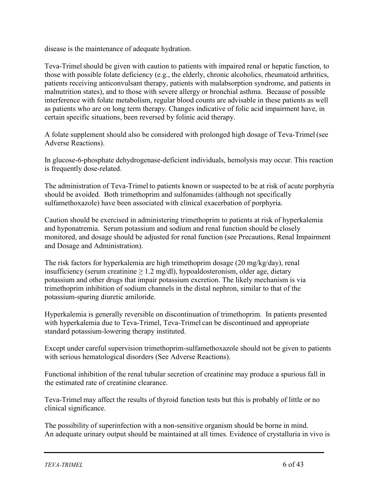disease is the maintenance of adequate hydration.

Teva-Trimel should be given with caution to patients with impaired renal or hepatic function, to those with possible folate deficiency (e.g., the elderly, chronic alcoholics, rheumatoid arthritics, patients receiving anticonvulsant therapy, patients with malabsorption syndrome, and patients in malnutrition states), and to those with severe allergy or bronchial asthma. Because of possible interference with folate metabolism, regular blood counts are advisable in these patients as well as patients who are on long term therapy. Changes indicative of folic acid impairment have, in certain specific situations, been reversed by folinic acid therapy.

A folate supplement should also be considered with prolonged high dosage of Teva-Trimel (see Adverse Reactions).

In glucose-6-phosphate dehydrogenase-deficient individuals, hemolysis may occur. This reaction is frequently dose-related.

The administration of Teva-Trimel to patients known or suspected to be at risk of acute porphyria should be avoided. Both trimethoprim and sulfonamides (although not specifically sulfamethoxazole) have been associated with clinical exacerbation of porphyria.

Caution should be exercised in administering trimethoprim to patients at risk of hyperkalemia and hyponatremia. Serum potassium and sodium and renal function should be closely monitored, and dosage should be adjusted for renal function (see Precautions, Renal Impairment and Dosage and Administration).

The risk factors for hyperkalemia are high trimethoprim dosage (20 mg/kg/day), renal insufficiency (serum creatinine  $\geq 1.2$  mg/dl), hypoaldosteronism, older age, dietary potassium and other drugs that impair potassium excretion. The likely mechanism is via trimethoprim inhibition of sodium channels in the distal nephron, similar to that of the potassium-sparing diuretic amiloride.

Hyperkalemia is generally reversible on discontinuation of trimethoprim. In patients presented with hyperkalemia due to Teva-Trimel, Teva-Trimel can be discontinued and appropriate standard potassium-lowering therapy instituted.

Except under careful supervision trimethoprim-sulfamethoxazole should not be given to patients with serious hematological disorders (See Adverse Reactions).

Functional inhibition of the renal tubular secretion of creatinine may produce a spurious fall in the estimated rate of creatinine clearance.

Teva-Trimel may affect the results of thyroid function tests but this is probably of little or no clinical significance.

The possibility of superinfection with a non-sensitive organism should be borne in mind. An adequate urinary output should be maintained at all times. Evidence of crystalluria in vivo is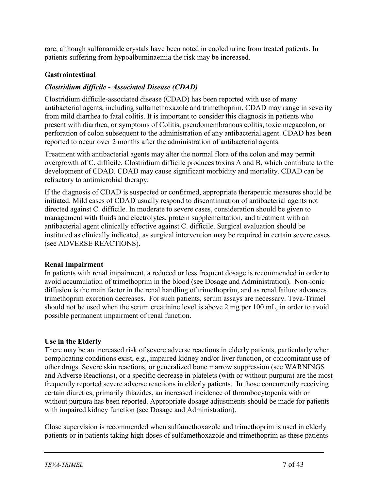rare, although sulfonamide crystals have been noted in cooled urine from treated patients. In patients suffering from hypoalbuminaemia the risk may be increased.

## **Gastrointestinal**

## *Clostridium difficile - Associated Disease (CDAD)*

Clostridium difficile-associated disease (CDAD) has been reported with use of many antibacterial agents, including sulfamethoxazole and trimethoprim. CDAD may range in severity from mild diarrhea to fatal colitis. It is important to consider this diagnosis in patients who present with diarrhea, or symptoms of Colitis, pseudomembranous colitis, toxic megacolon, or perforation of colon subsequent to the administration of any antibacterial agent. CDAD has been reported to occur over 2 months after the administration of antibacterial agents.

Treatment with antibacterial agents may alter the normal flora of the colon and may permit overgrowth of C. difficile. Clostridium difficile produces toxins A and B, which contribute to the development of CDAD. CDAD may cause significant morbidity and mortality. CDAD can be refractory to antimicrobial therapy.

If the diagnosis of CDAD is suspected or confirmed, appropriate therapeutic measures should be initiated. Mild cases of CDAD usually respond to discontinuation of antibacterial agents not directed against C. difficile. In moderate to severe cases, consideration should be given to management with fluids and electrolytes, protein supplementation, and treatment with an antibacterial agent clinically effective against C. difficile. Surgical evaluation should be instituted as clinically indicated, as surgical intervention may be required in certain severe cases (see ADVERSE REACTIONS).

## **Renal Impairment**

In patients with renal impairment, a reduced or less frequent dosage is recommended in order to avoid accumulation of trimethoprim in the blood (see Dosage and Administration). Non-ionic diffusion is the main factor in the renal handling of trimethoprim, and as renal failure advances, trimethoprim excretion decreases. For such patients, serum assays are necessary. Teva-Trimel should not be used when the serum creatinine level is above 2 mg per 100 mL, in order to avoid possible permanent impairment of renal function.

## **Use in the Elderly**

There may be an increased risk of severe adverse reactions in elderly patients, particularly when complicating conditions exist, e.g., impaired kidney and/or liver function, or concomitant use of other drugs. Severe skin reactions, or generalized bone marrow suppression (see WARNINGS and Adverse Reactions), or a specific decrease in platelets (with or without purpura) are the most frequently reported severe adverse reactions in elderly patients. In those concurrently receiving certain diuretics, primarily thiazides, an increased incidence of thrombocytopenia with or without purpura has been reported. Appropriate dosage adjustments should be made for patients with impaired kidney function (see Dosage and Administration).

Close supervision is recommended when sulfamethoxazole and trimethoprim is used in elderly patients or in patients taking high doses of sulfamethoxazole and trimethoprim as these patients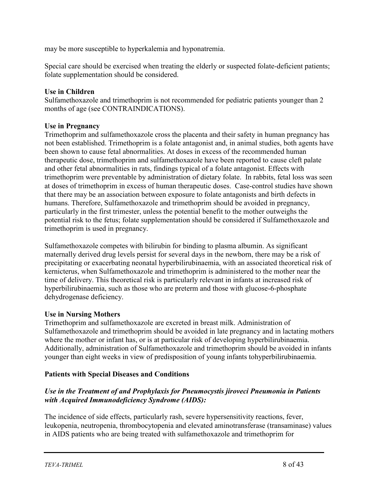may be more susceptible to hyperkalemia and hyponatremia.

Special care should be exercised when treating the elderly or suspected folate-deficient patients; folate supplementation should be considered.

## **Use in Children**

Sulfamethoxazole and trimethoprim is not recommended for pediatric patients younger than 2 months of age (see CONTRAINDICATIONS).

## **Use in Pregnancy**

Trimethoprim and sulfamethoxazole cross the placenta and their safety in human pregnancy has not been established. Trimethoprim is a folate antagonist and, in animal studies, both agents have been shown to cause fetal abnormalities. At doses in excess of the recommended human therapeutic dose, trimethoprim and sulfamethoxazole have been reported to cause cleft palate and other fetal abnormalities in rats, findings typical of a folate antagonist. Effects with trimethoprim were preventable by administration of dietary folate. In rabbits, fetal loss was seen at doses of trimethoprim in excess of human therapeutic doses. Case-control studies have shown that there may be an association between exposure to folate antagonists and birth defects in humans. Therefore, Sulfamethoxazole and trimethoprim should be avoided in pregnancy, particularly in the first trimester, unless the potential benefit to the mother outweighs the potential risk to the fetus; folate supplementation should be considered if Sulfamethoxazole and trimethoprim is used in pregnancy.

Sulfamethoxazole competes with bilirubin for binding to plasma albumin. As significant maternally derived drug levels persist for several days in the newborn, there may be a risk of precipitating or exacerbating neonatal hyperbilirubinaemia, with an associated theoretical risk of kernicterus, when Sulfamethoxazole and trimethoprim is administered to the mother near the time of delivery. This theoretical risk is particularly relevant in infants at increased risk of hyperbilirubinaemia, such as those who are preterm and those with glucose-6-phosphate dehydrogenase deficiency.

## **Use in Nursing Mothers**

Trimethoprim and sulfamethoxazole are excreted in breast milk. Administration of Sulfamethoxazole and trimethoprim should be avoided in late pregnancy and in lactating mothers where the mother or infant has, or is at particular risk of developing hyperbilirubinaemia. Additionally, administration of Sulfamethoxazole and trimethoprim should be avoided in infants younger than eight weeks in view of predisposition of young infants tohyperbilirubinaemia.

## **Patients with Special Diseases and Conditions**

## *Use in the Treatment of and Prophylaxis for Pneumocystis jiroveci Pneumonia in Patients with Acquired Immunodeficiency Syndrome (AIDS):*

The incidence of side effects, particularly rash, severe hypersensitivity reactions, fever, leukopenia, neutropenia, thrombocytopenia and elevated aminotransferase (transaminase) values in AIDS patients who are being treated with sulfamethoxazole and trimethoprim for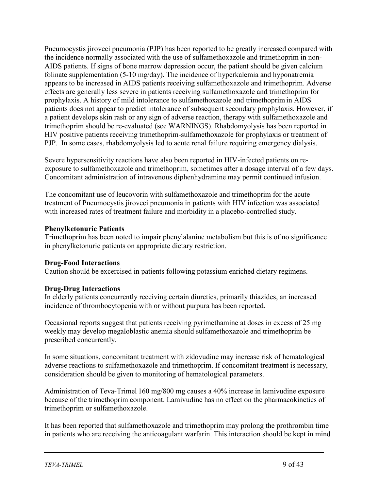Pneumocystis jiroveci pneumonia (PJP) has been reported to be greatly increased compared with the incidence normally associated with the use of sulfamethoxazole and trimethoprim in non-AIDS patients. If signs of bone marrow depression occur, the patient should be given calcium folinate supplementation (5-10 mg/day). The incidence of hyperkalemia and hyponatremia appears to be increased in AIDS patients receiving sulfamethoxazole and trimethoprim. Adverse effects are generally less severe in patients receiving sulfamethoxazole and trimethoprim for prophylaxis. A history of mild intolerance to sulfamethoxazole and trimethoprim in AIDS patients does not appear to predict intolerance of subsequent secondary prophylaxis. However, if a patient develops skin rash or any sign of adverse reaction, therapy with sulfamethoxazole and trimethoprim should be re-evaluated (see WARNINGS). Rhabdomyolysis has been reported in HIV positive patients receiving trimethoprim-sulfamethoxazole for prophylaxis or treatment of PJP. In some cases, rhabdomyolysis led to acute renal failure requiring emergency dialysis.

Severe hypersensitivity reactions have also been reported in HIV-infected patients on reexposure to sulfamethoxazole and trimethoprim, sometimes after a dosage interval of a few days. Concomitant administration of intravenous diphenhydramine may permit continued infusion.

The concomitant use of leucovorin with sulfamethoxazole and trimethoprim for the acute treatment of Pneumocystis jiroveci pneumonia in patients with HIV infection was associated with increased rates of treatment failure and morbidity in a placebo-controlled study.

## **Phenylketonuric Patients**

Trimethoprim has been noted to impair phenylalanine metabolism but this is of no significance in phenylketonuric patients on appropriate dietary restriction.

## **Drug-Food Interactions**

Caution should be excercised in patients following potassium enriched dietary regimens.

## **Drug-Drug Interactions**

In elderly patients concurrently receiving certain diuretics, primarily thiazides, an increased incidence of thrombocytopenia with or without purpura has been reported.

Occasional reports suggest that patients receiving pyrimethamine at doses in excess of 25 mg weekly may develop megaloblastic anemia should sulfamethoxazole and trimethoprim be prescribed concurrently.

In some situations, concomitant treatment with zidovudine may increase risk of hematological adverse reactions to sulfamethoxazole and trimethoprim. If concomitant treatment is necessary, consideration should be given to monitoring of hematological parameters.

Administration of Teva-Trimel 160 mg/800 mg causes a 40% increase in lamivudine exposure because of the trimethoprim component. Lamivudine has no effect on the pharmacokinetics of trimethoprim or sulfamethoxazole.

It has been reported that sulfamethoxazole and trimethoprim may prolong the prothrombin time in patients who are receiving the anticoagulant warfarin. This interaction should be kept in mind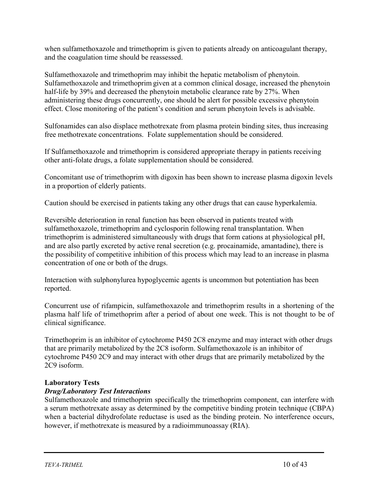when sulfamethoxazole and trimethoprim is given to patients already on anticoagulant therapy, and the coagulation time should be reassessed.

Sulfamethoxazole and trimethoprim may inhibit the hepatic metabolism of phenytoin. Sulfamethoxazole and trimethoprim given at a common clinical dosage, increased the phenytoin half-life by 39% and decreased the phenytoin metabolic clearance rate by 27%. When administering these drugs concurrently, one should be alert for possible excessive phenytoin effect. Close monitoring of the patient's condition and serum phenytoin levels is advisable.

Sulfonamides can also displace methotrexate from plasma protein binding sites, thus increasing free methotrexate concentrations. Folate supplementation should be considered.

If Sulfamethoxazole and trimethoprim is considered appropriate therapy in patients receiving other anti-folate drugs, a folate supplementation should be considered.

Concomitant use of trimethoprim with digoxin has been shown to increase plasma digoxin levels in a proportion of elderly patients.

Caution should be exercised in patients taking any other drugs that can cause hyperkalemia.

Reversible deterioration in renal function has been observed in patients treated with sulfamethoxazole, trimethoprim and cyclosporin following renal transplantation. When trimethoprim is administered simultaneously with drugs that form cations at physiological pH, and are also partly excreted by active renal secretion (e.g. procainamide, amantadine), there is the possibility of competitive inhibition of this process which may lead to an increase in plasma concentration of one or both of the drugs.

Interaction with sulphonylurea hypoglycemic agents is uncommon but potentiation has been reported.

Concurrent use of rifampicin, sulfamethoxazole and trimethoprim results in a shortening of the plasma half life of trimethoprim after a period of about one week. This is not thought to be of clinical significance.

Trimethoprim is an inhibitor of cytochrome P450 2C8 enzyme and may interact with other drugs that are primarily metabolized by the 2C8 isoform. Sulfamethoxazole is an inhibitor of cytochrome P450 2C9 and may interact with other drugs that are primarily metabolized by the 2C9 isoform.

## **Laboratory Tests**

## *Drug/Laboratory Test Interactions*

Sulfamethoxazole and trimethoprim specifically the trimethoprim component, can interfere with a serum methotrexate assay as determined by the competitive binding protein technique (CBPA) when a bacterial dihydrofolate reductase is used as the binding protein. No interference occurs, however, if methotrexate is measured by a radioimmunoassay (RIA).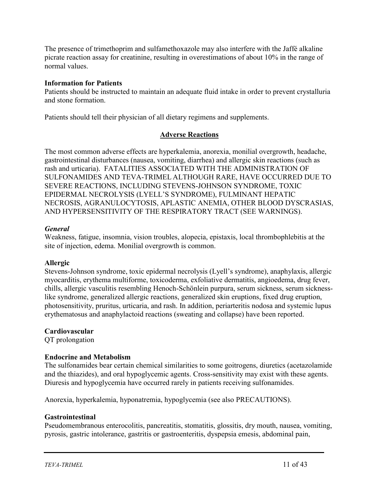The presence of trimethoprim and sulfamethoxazole may also interfere with the Jaffé alkaline picrate reaction assay for creatinine, resulting in overestimations of about 10% in the range of normal values.

### **Information for Patients**

Patients should be instructed to maintain an adequate fluid intake in order to prevent crystalluria and stone formation.

Patients should tell their physician of all dietary regimens and supplements.

## **Adverse Reactions**

The most common adverse effects are hyperkalemia, anorexia, monilial overgrowth, headache, gastrointestinal disturbances (nausea, vomiting, diarrhea) and allergic skin reactions (such as rash and urticaria). FATALITIES ASSOCIATED WITH THE ADMINISTRATION OF SULFONAMIDES AND TEVA-TRIMEL ALTHOUGH RARE, HAVE OCCURRED DUE TO SEVERE REACTIONS, INCLUDING STEVENS-JOHNSON SYNDROME, TOXIC EPIDERMAL NECROLYSIS (LYELL'S SYNDROME), FULMINANT HEPATIC NECROSIS, AGRANULOCYTOSIS, APLASTIC ANEMIA, OTHER BLOOD DYSCRASIAS, AND HYPERSENSITIVITY OF THE RESPIRATORY TRACT (SEE WARNINGS).

### *General*

Weakness, fatigue, insomnia, vision troubles, alopecia, epistaxis, local thrombophlebitis at the site of injection, edema. Monilial overgrowth is common.

### **Allergic**

Stevens-Johnson syndrome, toxic epidermal necrolysis (Lyell's syndrome), anaphylaxis, allergic myocarditis, erythema multiforme, toxicoderma, exfoliative dermatitis, angioedema, drug fever, chills, allergic vasculitis resembling Henoch-Schönlein purpura, serum sickness, serum sicknesslike syndrome, generalized allergic reactions, generalized skin eruptions, fixed drug eruption, photosensitivity, pruritus, urticaria, and rash. In addition, periarteritis nodosa and systemic lupus erythematosus and anaphylactoid reactions (sweating and collapse) have been reported.

## **Cardiovascular**

QT prolongation

## **Endocrine and Metabolism**

The sulfonamides bear certain chemical similarities to some goitrogens, diuretics (acetazolamide and the thiazides), and oral hypoglycemic agents. Cross-sensitivity may exist with these agents. Diuresis and hypoglycemia have occurred rarely in patients receiving sulfonamides.

Anorexia, hyperkalemia, hyponatremia, hypoglycemia (see also PRECAUTIONS).

### **Gastrointestinal**

Pseudomembranous enterocolitis, pancreatitis, stomatitis, glossitis, dry mouth, nausea, vomiting, pyrosis, gastric intolerance, gastritis or gastroenteritis, dyspepsia emesis, abdominal pain,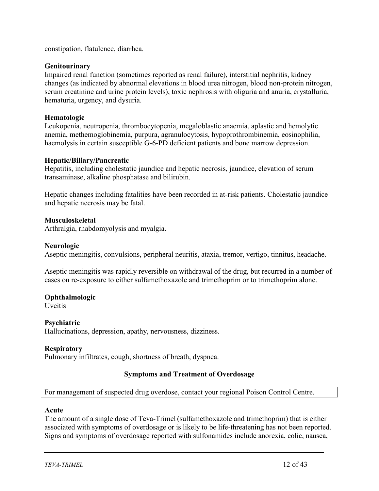constipation, flatulence, diarrhea.

### **Genitourinary**

Impaired renal function (sometimes reported as renal failure), interstitial nephritis, kidney changes (as indicated by abnormal elevations in blood urea nitrogen, blood non-protein nitrogen, serum creatinine and urine protein levels), toxic nephrosis with oliguria and anuria, crystalluria, hematuria, urgency, and dysuria.

### **Hematologic**

Leukopenia, neutropenia, thrombocytopenia, megaloblastic anaemia, aplastic and hemolytic anemia, methemoglobinemia, purpura, agranulocytosis, hypoprothrombinemia, eosinophilia, haemolysis in certain susceptible G-6-PD deficient patients and bone marrow depression.

### **Hepatic/Biliary/Pancreatic**

Hepatitis, including cholestatic jaundice and hepatic necrosis, jaundice, elevation of serum transaminase, alkaline phosphatase and bilirubin.

Hepatic changes including fatalities have been recorded in at-risk patients. Cholestatic jaundice and hepatic necrosis may be fatal.

### **Musculoskeletal**

Arthralgia, rhabdomyolysis and myalgia.

### **Neurologic**

Aseptic meningitis, convulsions, peripheral neuritis, ataxia, tremor, vertigo, tinnitus, headache.

Aseptic meningitis was rapidly reversible on withdrawal of the drug, but recurred in a number of cases on re-exposure to either sulfamethoxazole and trimethoprim or to trimethoprim alone.

## **Ophthalmologic**

**Uveitis** 

## **Psychiatric**

Hallucinations, depression, apathy, nervousness, dizziness.

### **Respiratory**

Pulmonary infiltrates, cough, shortness of breath, dyspnea.

### **Symptoms and Treatment of Overdosage**

For management of suspected drug overdose, contact your regional Poison Control Centre.

### **Acute**

The amount of a single dose of Teva-Trimel (sulfamethoxazole and trimethoprim) that is either associated with symptoms of overdosage or is likely to be life-threatening has not been reported. Signs and symptoms of overdosage reported with sulfonamides include anorexia, colic, nausea,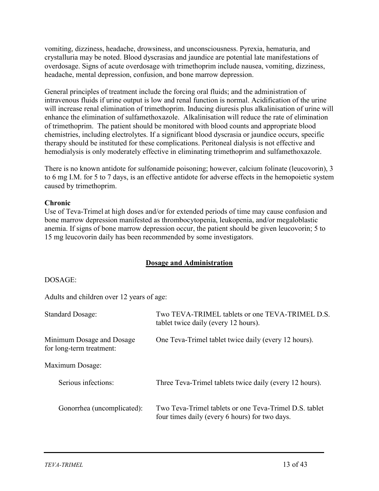vomiting, dizziness, headache, drowsiness, and unconsciousness. Pyrexia, hematuria, and crystalluria may be noted. Blood dyscrasias and jaundice are potential late manifestations of overdosage. Signs of acute overdosage with trimethoprim include nausea, vomiting, dizziness, headache, mental depression, confusion, and bone marrow depression.

General principles of treatment include the forcing oral fluids; and the administration of intravenous fluids if urine output is low and renal function is normal. Acidification of the urine will increase renal elimination of trimethoprim. Inducing diuresis plus alkalinisation of urine will enhance the elimination of sulfamethoxazole. Alkalinisation will reduce the rate of elimination of trimethoprim. The patient should be monitored with blood counts and appropriate blood chemistries, including electrolytes. If a significant blood dyscrasia or jaundice occurs, specific therapy should be instituted for these complications. Peritoneal dialysis is not effective and hemodialysis is only moderately effective in eliminating trimethoprim and sulfamethoxazole.

There is no known antidote for sulfonamide poisoning; however, calcium folinate (leucovorin), 3 to 6 mg I.M. for 5 to 7 days, is an effective antidote for adverse effects in the hemopoietic system caused by trimethoprim.

## **Chronic**

Use of Teva-Trimel at high doses and/or for extended periods of time may cause confusion and bone marrow depression manifested as thrombocytopenia, leukopenia, and/or megaloblastic anemia. If signs of bone marrow depression occur, the patient should be given leucovorin; 5 to 15 mg leucovorin daily has been recommended by some investigators.

## **Dosage and Administration**

### DOSAGE:

Adults and children over 12 years of age:

| <b>Standard Dosage:</b>                               | Two TEVA-TRIMEL tablets or one TEVA-TRIMEL D.S.<br>tablet twice daily (every 12 hours).                  |
|-------------------------------------------------------|----------------------------------------------------------------------------------------------------------|
| Minimum Dosage and Dosage<br>for long-term treatment: | One Teva-Trimel tablet twice daily (every 12 hours).                                                     |
| Maximum Dosage:                                       |                                                                                                          |
| Serious infections:                                   | Three Teva-Trimel tablets twice daily (every 12 hours).                                                  |
| Gonorrhea (uncomplicated):                            | Two Teva-Trimel tablets or one Teva-Trimel D.S. tablet<br>four times daily (every 6 hours) for two days. |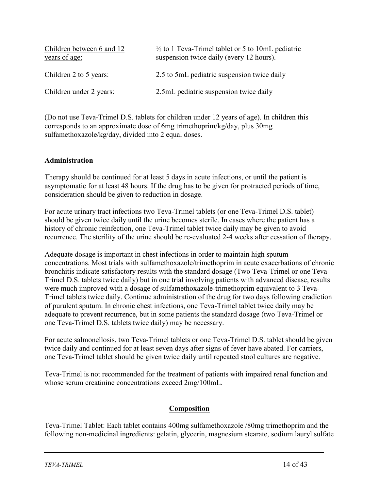| Children between 6 and 12<br>years of age: | $\frac{1}{2}$ to 1 Teva-Trimel tablet or 5 to 10mL pediatric<br>suspension twice daily (every 12 hours). |
|--------------------------------------------|----------------------------------------------------------------------------------------------------------|
| Children 2 to 5 years:                     | 2.5 to 5mL pediatric suspension twice daily                                                              |
| Children under 2 years:                    | 2.5mL pediatric suspension twice daily                                                                   |

(Do not use Teva-Trimel D.S. tablets for children under 12 years of age). In children this corresponds to an approximate dose of 6mg trimethoprim/kg/day, plus 30mg sulfamethoxazole/kg/day, divided into 2 equal doses.

## **Administration**

Therapy should be continued for at least 5 days in acute infections, or until the patient is asymptomatic for at least 48 hours. If the drug has to be given for protracted periods of time, consideration should be given to reduction in dosage.

For acute urinary tract infections two Teva-Trimel tablets (or one Teva-Trimel D.S. tablet) should be given twice daily until the urine becomes sterile. In cases where the patient has a history of chronic reinfection, one Teva-Trimel tablet twice daily may be given to avoid recurrence. The sterility of the urine should be re-evaluated 2-4 weeks after cessation of therapy.

Adequate dosage is important in chest infections in order to maintain high sputum concentrations. Most trials with sulfamethoxazole/trimethoprim in acute exacerbations of chronic bronchitis indicate satisfactory results with the standard dosage (Two Teva-Trimel or one Teva-Trimel D.S. tablets twice daily) but in one trial involving patients with advanced disease, results were much improved with a dosage of sulfamethoxazole-trimethoprim equivalent to 3 Teva-Trimel tablets twice daily. Continue administration of the drug for two days following eradiction of purulent sputum. In chronic chest infections, one Teva-Trimel tablet twice daily may be adequate to prevent recurrence, but in some patients the standard dosage (two Teva-Trimel or one Teva-Trimel D.S. tablets twice daily) may be necessary.

For acute salmonellosis, two Teva-Trimel tablets or one Teva-Trimel D.S. tablet should be given twice daily and continued for at least seven days after signs of fever have abated. For carriers, one Teva-Trimel tablet should be given twice daily until repeated stool cultures are negative.

Teva-Trimel is not recommended for the treatment of patients with impaired renal function and whose serum creatinine concentrations exceed 2mg/100mL.

## **Composition**

Teva-Trimel Tablet: Each tablet contains 400mg sulfamethoxazole /80mg trimethoprim and the following non-medicinal ingredients: gelatin, glycerin, magnesium stearate, sodium lauryl sulfate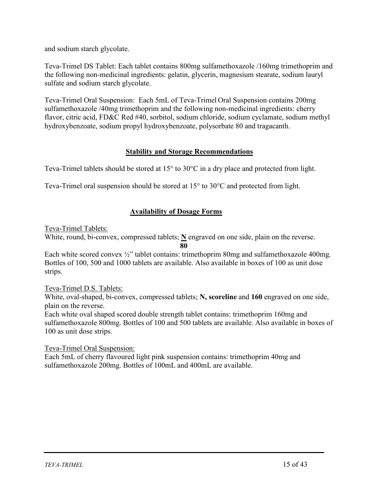and sodium starch glycolate.

Teva-Trimel DS Tablet: Each tablet contains 800mg sulfamethoxazole /160mg trimethoprim and the following non-medicinal ingredients: gelatin, glycerin, magnesium stearate, sodium lauryl sulfate and sodium starch glycolate.

Teva-Trimel Oral Suspension: Each 5mL of Teva-Trimel Oral Suspension contains 200mg sulfamethoxazole /40mg trimethoprim and the following non-medicinal ingredients: cherry flavor, citric acid, FD&C Red #40, sorbitol, sodium chloride, sodium cyclamate, sodium methyl hydroxybenzoate, sodium propyl hydroxybenzoate, polysorbate 80 and tragacanth.

## **Stability and Storage Recommendations**

Teva-Trimel tablets should be stored at 15° to 30°C in a dry place and protected from light.

Teva-Trimel oral suspension should be stored at 15° to 30°C and protected from light.

## **Availability of Dosage Forms**

Teva-Trimel Tablets:

White, round, bi-convex, compressed tablets; **N** engraved on one side, plain on the reverse.

 **80** Each white scored convex  $\frac{1}{2}$ " tablet contains: trimethoprim 80mg and sulfamethoxazole 400mg. Bottles of 100, 500 and 1000 tablets are available. Also available in boxes of 100 as unit dose strips.

Teva-Trimel D.S. Tablets:

White, oval-shaped, bi-convex, compressed tablets; **N, scoreline** and **160** engraved on one side, plain on the reverse.

Each white oval shaped scored double strength tablet contains: trimethoprim 160mg and sulfamethoxazole 800mg. Bottles of 100 and 500 tablets are available. Also available in boxes of 100 as unit dose strips.

Teva-Trimel Oral Suspension:

Each 5mL of cherry flavoured light pink suspension contains: trimethoprim 40mg and sulfamethoxazole 200mg. Bottles of 100mL and 400mL are available.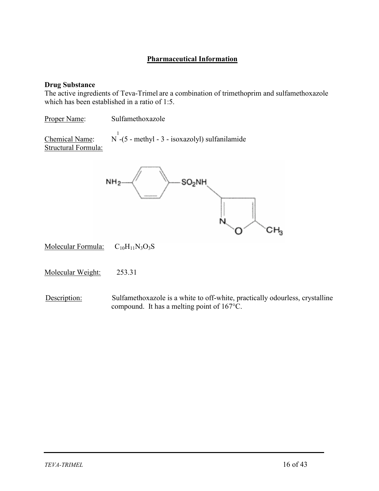## **Pharmaceutical Information**

### **Drug Substance**

The active ingredients of Teva-Trimel are a combination of trimethoprim and sulfamethoxazole which has been established in a ratio of 1:5.

Proper Name: Sulfamethoxazole

Chemical Name:  $\frac{1}{1}$ -(5 - methyl - 3 - isoxazolyl) sulfanilamide Structural Formula:



Molecular Formula:  $C_{10}H_{11}N_3O_3S$ 

Molecular Weight: 253.31

Description: Sulfamethoxazole is a white to off-white, practically odourless, crystalline compound. It has a melting point of 167°C.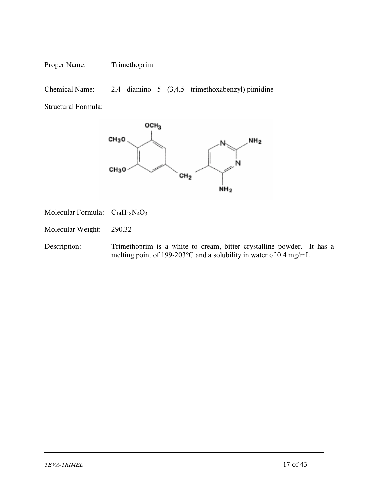### Proper Name: Trimethoprim

Chemical Name: 2,4 - diamino - 5 - (3,4,5 - trimethoxabenzyl) pimidine

Structural Formula:



Molecular Formula:  $C_{14}H_{18}N_4O_3$ 

Molecular Weight: 290.32

Description: Trimethoprim is a white to cream, bitter crystalline powder. It has a melting point of 199-203°C and a solubility in water of 0.4 mg/mL.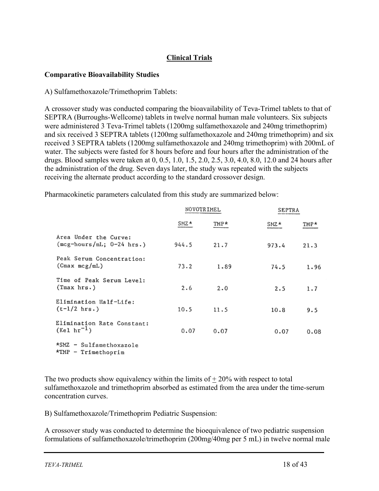## **Clinical Trials**

## **Comparative Bioavailability Studies**

A) Sulfamethoxazole/Trimethoprim Tablets:

A crossover study was conducted comparing the bioavailability of Teva-Trimel tablets to that of SEPTRA (Burroughs-Wellcome) tablets in twelve normal human male volunteers. Six subjects were administered 3 Teva-Trimel tablets (1200mg sulfamethoxazole and 240mg trimethoprim) and six received 3 SEPTRA tablets (1200mg sulfamethoxazole and 240mg trimethoprim) and six received 3 SEPTRA tablets (1200mg sulfamethoxazole and 240mg trimethoprim) with 200mL of water. The subjects were fasted for 8 hours before and four hours after the administration of the drugs. Blood samples were taken at 0, 0.5, 1.0, 1.5, 2.0, 2.5, 3.0, 4.0, 8.0, 12.0 and 24 hours after the administration of the drug. Seven days later, the study was repeated with the subjects receiving the alternate product according to the standard crossover design.

Pharmacokinetic parameters calculated from this study are summarized below:

|                                                      | NOVOTRIMEI. |      |       |      |
|------------------------------------------------------|-------------|------|-------|------|
|                                                      | SMZ *       | TMP* | SMZ * | TMP* |
| Area Under the Curve:<br>$(mcg-hours/mL; 0-24 hrs.)$ | 944.5       | 21.7 | 973.4 | 21.3 |
| Peak Serum Concentration:<br>(Cmax mcg/mL)           | 73.2        | 1.89 | 74.5  | 1.96 |
| Time of Peak Serum Level:<br>(Tmax hrs.)             | 2.6         | 2.0  | 2.5   | 1.7  |
| Elimination Half-Life:<br>$(t-1/2$ hrs.)             | 10.5        | 11.5 | 10.8  | 9.5  |
| Elimination Rate Constant:<br>$(Kel hr^{-1})$        | 0.07        | 0.07 | 0.07  | 0.08 |
| *SMZ - Sulfamethoxazole<br>$*$ TMP - Trimethoprim    |             |      |       |      |

The two products show equivalency within the limits of  $+20\%$  with respect to total sulfamethoxazole and trimethoprim absorbed as estimated from the area under the time-serum concentration curves.

B) Sulfamethoxazole/Trimethoprim Pediatric Suspension:

A crossover study was conducted to determine the bioequivalence of two pediatric suspension formulations of sulfamethoxazole/trimethoprim (200mg/40mg per 5 mL) in twelve normal male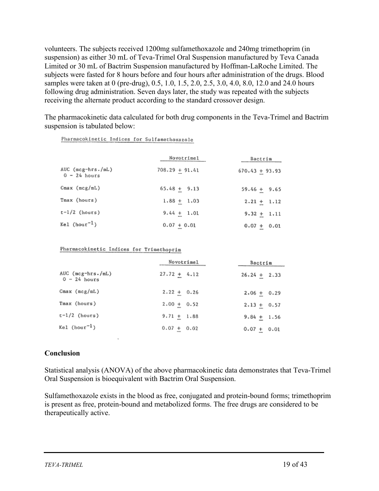volunteers. The subjects received 1200mg sulfamethoxazole and 240mg trimethoprim (in suspension) as either 30 mL of Teva-Trimel Oral Suspension manufactured by Teva Canada Limited or 30 mL of Bactrim Suspension manufactured by Hoffman-LaRoche Limited. The subjects were fasted for 8 hours before and four hours after administration of the drugs. Blood samples were taken at 0 (pre-drug), 0.5, 1.0, 1.5, 2.0, 2.5, 3.0, 4.0, 8.0, 12.0 and 24.0 hours following drug administration. Seven days later, the study was repeated with the subjects receiving the alternate product according to the standard crossover design.

The pharmacokinetic data calculated for both drug components in the Teva-Trimel and Bactrim suspension is tabulated below:

Pharmacokinetic Indices for Sulfamethoxazole

|                                     | Novotrimel       | Bactrim          |
|-------------------------------------|------------------|------------------|
| AUC (mcg-hrs./mL)<br>$0 - 24$ hours | $708.29 + 91.41$ | $670.43 + 93.93$ |
| Cmax (mcg/mL)                       | $65.48 + 9.13$   | $59.46 + 9.65$   |
| Tmax (hours)                        | $1.88 + 1.03$    | $2.21 + 1.12$    |
| $t-1/2$ (hours)                     | $9.44 + 1.01$    | $9.32 + 1.11$    |
| Kel (hour <sup>-1</sup> )           | $0.07 + 0.01$    | $0.07 + 0.01$    |

#### Pharmacokinetic Indices for Trimethoprim

|                                     | Novotrimel     | Bactrim        |  |  |
|-------------------------------------|----------------|----------------|--|--|
| AUC (mcg-hrs./mL)<br>$0 - 24$ hours | $27.72 + 4.12$ | $26.24 + 2.33$ |  |  |
| Cmax (mcg/mL)                       | $2.22 + 0.26$  | $2.06 + 0.29$  |  |  |
| Tmax (hours)                        | $2.00 + 0.52$  | $2.13 + 0.57$  |  |  |
| $t-1/2$ (hours)                     | $9.71 + 1.88$  | $9.84 + 1.56$  |  |  |
| $Kel (hour-1)$                      | $0.07 + 0.02$  | $0.07 + 0.01$  |  |  |

## **Conclusion**

Statistical analysis (ANOVA) of the above pharmacokinetic data demonstrates that Teva-Trimel Oral Suspension is bioequivalent with Bactrim Oral Suspension.

Sulfamethoxazole exists in the blood as free, conjugated and protein-bound forms; trimethoprim is present as free, protein-bound and metabolized forms. The free drugs are considered to be therapeutically active.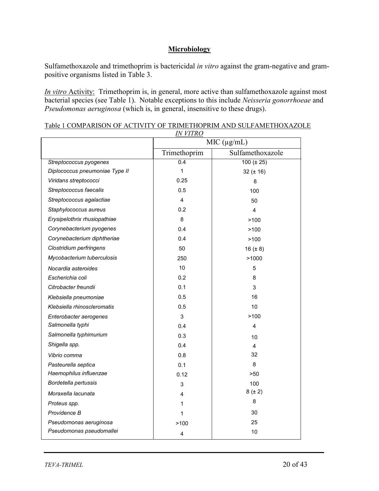## **Microbiology**

Sulfamethoxazole and trimethoprim is bactericidal *in vitro* against the gram-negative and grampositive organisms listed in Table 3.

*In vitro* Activity: Trimethoprim is, in general, more active than sulfamethoxazole against most bacterial species (see Table 1). Notable exceptions to this include *Neisseria gonorrhoeae* and *Pseudomonas aeruginosa* (which is, in general, insensitive to these drugs).

|                                | MIC (µg/mL)  |                  |  |
|--------------------------------|--------------|------------------|--|
|                                | Trimethoprim | Sulfamethoxazole |  |
| Streptococcus pyogenes         | 0.4          | $100 (\pm 25)$   |  |
| Diplococcus pneumoniae Type II | 1            | $32 (\pm 16)$    |  |
| Viridans streptococci          | 0.25         | 8                |  |
| Streptococcus faecalis         | 0.5          | 100              |  |
| Streptococcus agalactiae       | 4            | 50               |  |
| Staphylococcus aureus          | 0.2          | 4                |  |
| Erysipelothrix rhusiopathiae   | 8            | >100             |  |
| Corynebacterium pyogenes       | 0.4          | >100             |  |
| Corynebacterium diphtheriae    | 0.4          | >100             |  |
| Clostridium perfringens        | 50           | 16 $(± 8)$       |  |
| Mycobacterium tuberculosis     | 250          | >1000            |  |
| Nocardia asteroides            | 10           | 5                |  |
| Escherichia coli               | 0.2          | 8                |  |
| Citrobacter freundii           | 0.1          | 3                |  |
| Klebsiella pneumoniae          | 0.5          | 16               |  |
| Klebsiella rhinoscleromatis    | 0.5          | 10               |  |
| Enterobacter aerogenes         | 3            | >100             |  |
| Salmonella typhi               | 0.4          | 4                |  |
| Salmonella typhimurium         | 0.3          | 10               |  |
| Shigella spp.                  | 0.4          | $\overline{4}$   |  |
| Vibrio comma                   | 0.8          | 32               |  |
| Pasteurella septica            | 0.1          | 8                |  |
| Haemophilus influenzae         | 0.12         | >50              |  |
| Bordetella pertussis           | 3            | 100              |  |
| Moraxella lacunata             | 4            | $8 (\pm 2)$      |  |
| Proteus spp.                   | 1            | 8                |  |
| Providence B                   | 1            | 30               |  |
| Pseudomonas aeruginosa         | >100         | 25               |  |
| Pseudomonas pseudomallei       | 4            | $10$             |  |

| Table 1 COMPARISON OF ACTIVITY OF TRIMETHOPRIM AND SULFAMETHOXAZOLE |                 |  |
|---------------------------------------------------------------------|-----------------|--|
|                                                                     | <i>IN VITRO</i> |  |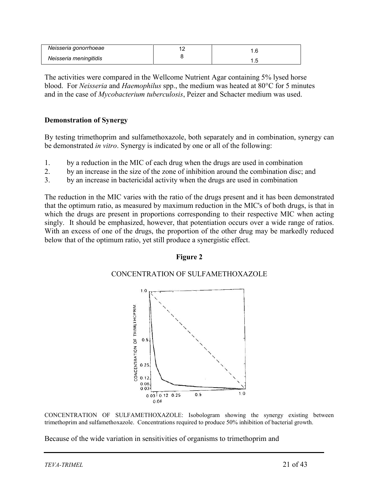| Neisseria gonorrhoeae  | . . U |
|------------------------|-------|
| Neisseria meningitidis |       |

The activities were compared in the Wellcome Nutrient Agar containing 5% lysed horse blood. For *Neisseria* and *Haemophilus* spp., the medium was heated at 80°C for 5 minutes and in the case of *Mycobacterium tuberculosis*, Peizer and Schacter medium was used.

### **Demonstration of Synergy**

By testing trimethoprim and sulfamethoxazole, both separately and in combination, synergy can be demonstrated *in vitro*. Synergy is indicated by one or all of the following:

- 1. by a reduction in the MIC of each drug when the drugs are used in combination
- 2. by an increase in the size of the zone of inhibition around the combination disc; and
- 3. by an increase in bactericidal activity when the drugs are used in combination

The reduction in the MIC varies with the ratio of the drugs present and it has been demonstrated that the optimum ratio, as measured by maximum reduction in the MIC's of both drugs, is that in which the drugs are present in proportions corresponding to their respective MIC when acting singly. It should be emphasized, however, that potentiation occurs over a wide range of ratios. With an excess of one of the drugs, the proportion of the other drug may be markedly reduced below that of the optimum ratio, yet still produce a synergistic effect.

### **Figure 2**

CONCENTRATION OF SULFAMETHOXAZOLE



CONCENTRATION OF SULFAMETHOXAZOLE: Isobologram showing the synergy existing between trimethoprim and sulfamethoxazole. Concentrations required to produce 50% inhibition of bacterial growth.

Because of the wide variation in sensitivities of organisms to trimethoprim and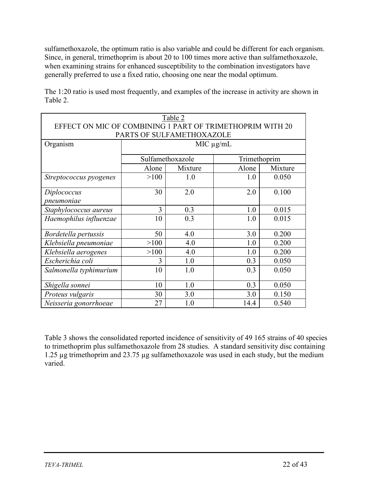sulfamethoxazole, the optimum ratio is also variable and could be different for each organism. Since, in general, trimethoprim is about 20 to 100 times more active than sulfamethoxazole, when examining strains for enhanced susceptibility to the combination investigators have generally preferred to use a fixed ratio, choosing one near the modal optimum.

| The 1:20 ratio is used most frequently, and examples of the increase in activity are shown in |  |  |
|-----------------------------------------------------------------------------------------------|--|--|
| Table 2.                                                                                      |  |  |

|                                                           | Table 2 |                           |                |              |  |
|-----------------------------------------------------------|---------|---------------------------|----------------|--------------|--|
| EFFECT ON MIC OF COMBINING 1 PART OF TRIMETHOPRIM WITH 20 |         |                           |                |              |  |
|                                                           |         | PARTS OF SULFAMETHOXAZOLE |                |              |  |
| Organism                                                  |         |                           | $MIC~\mu g/mL$ |              |  |
|                                                           |         | Sulfamethoxazole          |                | Trimethoprim |  |
|                                                           | Alone   | Mixture                   | Alone          | Mixture      |  |
| Streptococcus pyogenes                                    | >100    | 1.0                       | 1.0            | 0.050        |  |
| Diplococcus<br>pneumoniae                                 | 30      | 2.0                       | 2.0            | 0.100        |  |
| Staphylococcus aureus                                     | 3       | 0.3                       | 1.0            | 0.015        |  |
| Haemophilus influenzae                                    | 10      | 0.3                       | 1.0            | 0.015        |  |
| Bordetella pertussis                                      | 50      | 4.0                       | 3.0            | 0.200        |  |
| Klebsiella pneumoniae                                     | >100    | 4.0                       | 1.0            | 0.200        |  |
| Klebsiella aerogenes                                      | >100    | 4.0                       | 1.0            | 0.200        |  |
| Escherichia coli                                          | 3       | 1.0                       | 0.3            | 0.050        |  |
| Salmonella typhimurium                                    | 10      | 1.0                       | 0.3            | 0.050        |  |
| Shigella sonnei                                           | 10      | 1.0                       | 0.3            | 0.050        |  |
| Proteus vulgaris                                          | 30      | 3.0                       | 3.0            | 0.150        |  |
| Neisseria gonorrhoeae                                     | 27      | 1.0                       | 14.4           | 0.540        |  |

Table 3 shows the consolidated reported incidence of sensitivity of 49 165 strains of 40 species to trimethoprim plus sulfamethoxazole from 28 studies. A standard sensitivity disc containing 1.25 µg trimethoprim and 23.75 µg sulfamethoxazole was used in each study, but the medium varied.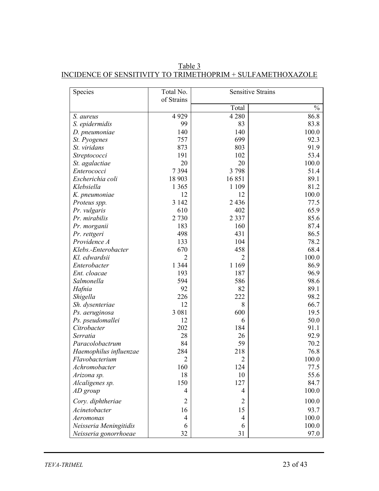Table 3 INCIDENCE OF SENSITIVITY TO TRIMETHOPRIM + SULFAMETHOXAZOLE

| Species                | Total No.      |                | <b>Sensitive Strains</b> |
|------------------------|----------------|----------------|--------------------------|
|                        | of Strains     |                |                          |
|                        |                | Total          | $\frac{0}{0}$            |
| S. aureus              | 4929           | 4 2 8 0        | 86.8                     |
| S. epidermidis         | 99             | 83             | 83.8                     |
| D. pneumoniae          | 140            | 140            | 100.0                    |
| St. Pyogenes           | 757            | 699            | 92.3                     |
| St. viridans           | 873            | 803            | 91.9                     |
| Streptococci           | 191            | 102            | 53.4                     |
| St. agalactiae         | 20             | 20             | 100.0                    |
| Enterococci            | 7394           | 3798           | 51.4                     |
| Escherichia coli       | 18 903         | 16851          | 89.1                     |
| Klebsiella             | 1 3 6 5        | 1 1 0 9        | 81.2                     |
| K. pneumoniae          | 12             | 12             | 100.0                    |
| Proteus spp.           | 3 1 4 2        | 2 4 3 6        | 77.5                     |
| Pr. vulgaris           | 610            | 402            | 65.9                     |
| Pr. mirabilis          | 2 7 3 0        | 2 3 3 7        | 85.6                     |
| Pr. morganii           | 183            | 160            | 87.4                     |
| Pr. rettgeri           | 498            | 431            | 86.5                     |
| Providence A           | 133            | 104            | 78.2                     |
| Klebs.-Enterobacter    | 670            | 458            | 68.4                     |
| Kl. edwardsii          | $\overline{2}$ | 2              | 100.0                    |
| Enterobacter           | 1 3 4 4        | 1 1 6 9        | 86.9                     |
| Ent. cloacae           | 193            | 187            | 96.9                     |
| Salmonella             | 594            | 586            | 98.6                     |
| Hafnia                 | 92             | 82             | 89.1                     |
| Shigella               | 226            | 222            | 98.2                     |
| Sh. dysenteriae        | 12             | 8              | 66.7                     |
| Ps. aeruginosa         | 3 0 8 1        | 600            | 19.5                     |
| Ps. pseudomallei       | 12             | 6              | 50.0                     |
| Citrobacter            | 202            | 184            | 91.1                     |
| Serratia               | 28             | 26             | 92.9                     |
| Paracolobactrum        | 84             | 59             | 70.2                     |
| Haemophilus influenzae | 284            | 218            | 76.8                     |
| Flavobacterium         | $\overline{2}$ | $\overline{2}$ | 100.0                    |
| Achromobacter          | 160            | 124            | 77.5                     |
| Arizona sp.            | 18             | 10             | 55.6                     |
| Alcaligenes sp.        | 150            | 127            | 84.7                     |
| AD group               | $\overline{4}$ | $\overline{4}$ | 100.0                    |
| Cory. diphtheriae      | $\overline{2}$ | $\overline{2}$ | 100.0                    |
| Acinetobacter          | 16             | 15             | 93.7                     |
| Aeromonas              | $\overline{4}$ | 4              | 100.0                    |
| Neisseria Meningitidis | 6              | 6              | 100.0                    |
| Neisseria gonorrhoeae  | 32             | 31             | 97.0                     |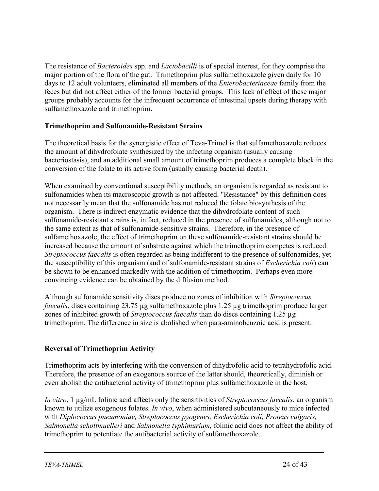The resistance of *Bacteroides* spp. and *Lactobacilli* is of special interest, for they comprise the major portion of the flora of the gut. Trimethoprim plus sulfamethoxazole given daily for 10 days to 12 adult volunteers, eliminated all members of the *Enterobacteriaceae* family from the feces but did not affect either of the former bacterial groups. This lack of effect of these major groups probably accounts for the infrequent occurrence of intestinal upsets during therapy with sulfamethoxazole and trimethoprim.

## **Trimethoprim and Sulfonamide-Resistant Strains**

The theoretical basis for the synergistic effect of Teva-Trimel is that sulfamethoxazole reduces the amount of dihydrofolate synthesized by the infecting organism (usually causing bacteriostasis), and an additional small amount of trimethoprim produces a complete block in the conversion of the folate to its active form (usually causing bacterial death).

When examined by conventional susceptibility methods, an organism is regarded as resistant to sulfonamides when its macroscopic growth is not affected. "Resistance" by this definition does not necessarily mean that the sulfonamide has not reduced the folate biosynthesis of the organism. There is indirect enzymatic evidence that the dihydrofolate content of such sulfonamide-resistant strains is, in fact, reduced in the presence of sulfonamides, although not to the same extent as that of sulfonamide-sensitive strains. Therefore, in the presence of sulfamethoxazole, the effect of trimethoprim on these sulfonamide-resistant strains should be increased because the amount of substrate against which the trimethoprim competes is reduced. *Streptococcus faecalis* is often regarded as being indifferent to the presence of sulfonamides, yet the susceptibility of this organism (and of sulfonamide-resistant strains of *Escherichia coli*) can be shown to be enhanced markedly with the addition of trimethoprim. Perhaps even more convincing evidence can be obtained by the diffusion method.

Although sulfonamide sensitivity discs produce no zones of inhibition with *Streptococcus faecalis*, discs containing 23.75 µg sulfamethoxazole plus 1.25 µg trimethoprim produce larger zones of inhibited growth of *Streptococcus faecalis* than do discs containing 1.25 µg trimethoprim. The difference in size is abolished when para-aminobenzoic acid is present.

## **Reversal of Trimethoprim Activity**

Trimethoprim acts by interfering with the conversion of dihydrofolic acid to tetrahydrofolic acid. Therefore, the presence of an exogenous source of the latter should, theoretically, diminish or even abolish the antibacterial activity of trimethoprim plus sulfamethoxazole in the host.

*In vitro*, 1 µg/mL folinic acid affects only the sensitivities of *Streptococcus faecalis*, an organism known to utilize exogenous folates. *In vivo*, when administered subcutaneously to mice infected with *Diplococcus pneumoniae, Streptococcus pyogenes, Escherichia coli, Proteus vulgaris, Salmonella schottmuelleri* and *Salmonella typhimurium,* folinic acid does not affect the ability of trimethoprim to potentiate the antibacterial activity of sulfamethoxazole.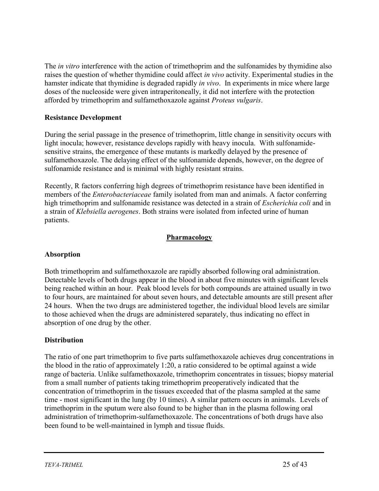The *in vitro* interference with the action of trimethoprim and the sulfonamides by thymidine also raises the question of whether thymidine could affect *in vivo* activity. Experimental studies in the hamster indicate that thymidine is degraded rapidly *in vivo*. In experiments in mice where large doses of the nucleoside were given intraperitoneally, it did not interfere with the protection afforded by trimethoprim and sulfamethoxazole against *Proteus vulgaris*.

## **Resistance Development**

During the serial passage in the presence of trimethoprim, little change in sensitivity occurs with light inocula; however, resistance develops rapidly with heavy inocula. With sulfonamidesensitive strains, the emergence of these mutants is markedly delayed by the presence of sulfamethoxazole. The delaying effect of the sulfonamide depends, however, on the degree of sulfonamide resistance and is minimal with highly resistant strains.

Recently, R factors conferring high degrees of trimethoprim resistance have been identified in members of the *Enterobacteriaceae* family isolated from man and animals. A factor conferring high trimethoprim and sulfonamide resistance was detected in a strain of *Escherichia coli* and in a strain of *Klebsiella aerogenes*. Both strains were isolated from infected urine of human patients.

## **Pharmacology**

## **Absorption**

Both trimethoprim and sulfamethoxazole are rapidly absorbed following oral administration. Detectable levels of both drugs appear in the blood in about five minutes with significant levels being reached within an hour. Peak blood levels for both compounds are attained usually in two to four hours, are maintained for about seven hours, and detectable amounts are still present after 24 hours. When the two drugs are administered together, the individual blood levels are similar to those achieved when the drugs are administered separately, thus indicating no effect in absorption of one drug by the other.

## **Distribution**

The ratio of one part trimethoprim to five parts sulfamethoxazole achieves drug concentrations in the blood in the ratio of approximately 1:20, a ratio considered to be optimal against a wide range of bacteria. Unlike sulfamethoxazole, trimethoprim concentrates in tissues; biopsy material from a small number of patients taking trimethoprim preoperatively indicated that the concentration of trimethoprim in the tissues exceeded that of the plasma sampled at the same time - most significant in the lung (by 10 times). A similar pattern occurs in animals. Levels of trimethoprim in the sputum were also found to be higher than in the plasma following oral administration of trimethoprim-sulfamethoxazole. The concentrations of both drugs have also been found to be well-maintained in lymph and tissue fluids.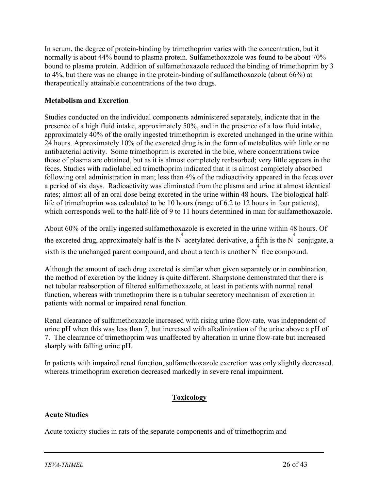In serum, the degree of protein-binding by trimethoprim varies with the concentration, but it normally is about 44% bound to plasma protein. Sulfamethoxazole was found to be about 70% bound to plasma protein. Addition of sulfamethoxazole reduced the binding of trimethoprim by 3 to 4%, but there was no change in the protein-binding of sulfamethoxazole (about 66%) at therapeutically attainable concentrations of the two drugs.

## **Metabolism and Excretion**

Studies conducted on the individual components administered separately, indicate that in the presence of a high fluid intake, approximately 50%, and in the presence of a low fluid intake, approximately 40% of the orally ingested trimethoprim is excreted unchanged in the urine within 24 hours. Approximately 10% of the excreted drug is in the form of metabolites with little or no antibacterial activity. Some trimethoprim is excreted in the bile, where concentrations twice those of plasma are obtained, but as it is almost completely reabsorbed; very little appears in the feces. Studies with radiolabelled trimethoprim indicated that it is almost completely absorbed following oral administration in man; less than 4% of the radioactivity appeared in the feces over a period of six days. Radioactivity was eliminated from the plasma and urine at almost identical rates; almost all of an oral dose being excreted in the urine within 48 hours. The biological halflife of trimethoprim was calculated to be 10 hours (range of 6.2 to 12 hours in four patients), which corresponds well to the half-life of 9 to 11 hours determined in man for sulfamethoxazole.

About 60% of the orally ingested sulfamethoxazole is excreted in the urine within 48 hours. Of the excreted drug, approximately half is the N<sup>4</sup> acetylated derivative, a fifth is the N<sup>4</sup> conjugate, a sixth is the unchanged parent compound, and about a tenth is another  $N<sup>4</sup>$  free compound.

Although the amount of each drug excreted is similar when given separately or in combination, the method of excretion by the kidney is quite different. Sharpstone demonstrated that there is net tubular reabsorption of filtered sulfamethoxazole, at least in patients with normal renal function, whereas with trimethoprim there is a tubular secretory mechanism of excretion in patients with normal or impaired renal function.

Renal clearance of sulfamethoxazole increased with rising urine flow-rate, was independent of urine pH when this was less than 7, but increased with alkalinization of the urine above a pH of 7. The clearance of trimethoprim was unaffected by alteration in urine flow-rate but increased sharply with falling urine pH.

In patients with impaired renal function, sulfamethoxazole excretion was only slightly decreased, whereas trimethoprim excretion decreased markedly in severe renal impairment.

## **Toxicology**

## **Acute Studies**

Acute toxicity studies in rats of the separate components and of trimethoprim and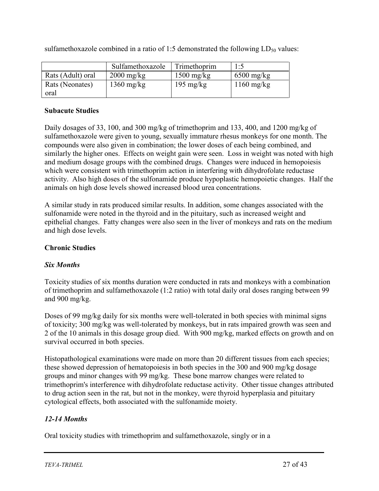|                   | Sulfamethoxazole     | Trimethoprim         | 1:5          |
|-------------------|----------------------|----------------------|--------------|
| Rats (Adult) oral | $2000 \text{ mg/kg}$ | $1500 \text{ mg/kg}$ | $6500$ mg/kg |
| Rats (Neonates)   | $1360 \text{ mg/kg}$ | $195 \text{ mg/kg}$  | $1160$ mg/kg |
| oral              |                      |                      |              |

sulfamethoxazole combined in a ratio of 1:5 demonstrated the following  $LD_{50}$  values:

## **Subacute Studies**

Daily dosages of 33, 100, and 300 mg/kg of trimethoprim and 133, 400, and 1200 mg/kg of sulfamethoxazole were given to young, sexually immature rhesus monkeys for one month. The compounds were also given in combination; the lower doses of each being combined, and similarly the higher ones. Effects on weight gain were seen. Loss in weight was noted with high and medium dosage groups with the combined drugs. Changes were induced in hemopoiesis which were consistent with trimethoprim action in interfering with dihydrofolate reductase activity. Also high doses of the sulfonamide produce hypoplastic hemopoietic changes. Half the animals on high dose levels showed increased blood urea concentrations.

A similar study in rats produced similar results. In addition, some changes associated with the sulfonamide were noted in the thyroid and in the pituitary, such as increased weight and epithelial changes. Fatty changes were also seen in the liver of monkeys and rats on the medium and high dose levels.

## **Chronic Studies**

## *Six Months*

Toxicity studies of six months duration were conducted in rats and monkeys with a combination of trimethoprim and sulfamethoxazole (1:2 ratio) with total daily oral doses ranging between 99 and 900 mg/kg.

Doses of 99 mg/kg daily for six months were well-tolerated in both species with minimal signs of toxicity; 300 mg/kg was well-tolerated by monkeys, but in rats impaired growth was seen and 2 of the 10 animals in this dosage group died. With 900 mg/kg, marked effects on growth and on survival occurred in both species.

Histopathological examinations were made on more than 20 different tissues from each species; these showed depression of hematopoiesis in both species in the 300 and 900 mg/kg dosage groups and minor changes with 99 mg/kg. These bone marrow changes were related to trimethoprim's interference with dihydrofolate reductase activity. Other tissue changes attributed to drug action seen in the rat, but not in the monkey, were thyroid hyperplasia and pituitary cytological effects, both associated with the sulfonamide moiety.

## *12-14 Months*

Oral toxicity studies with trimethoprim and sulfamethoxazole, singly or in a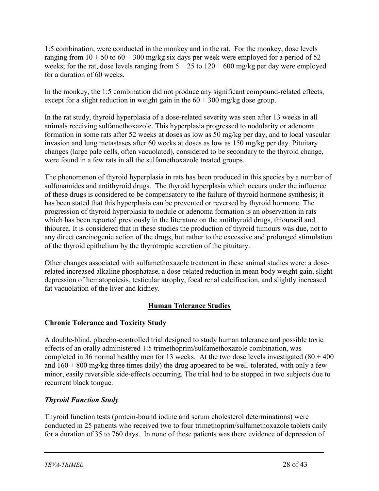1:5 combination, were conducted in the monkey and in the rat. For the monkey, dose levels ranging from  $10 + 50$  to  $60 + 300$  mg/kg six days per week were employed for a period of 52 weeks; for the rat, dose levels ranging from  $5 + 25$  to  $120 + 600$  mg/kg per day were employed for a duration of 60 weeks.

In the monkey, the 1:5 combination did not produce any significant compound-related effects, except for a slight reduction in weight gain in the  $60 + 300$  mg/kg dose group.

In the rat study, thyroid hyperplasia of a dose-related severity was seen after 13 weeks in all animals receiving sulfamethoxazole. This hyperplasia progressed to nodularity or adenoma formation in some rats after 52 weeks at doses as low as 50 mg/kg per day, and to local vascular invasion and lung metastases after 60 weeks at doses as low as 150 mg/kg per day. Pituitary changes (large pale cells, often vacuolated), considered to be secondary to the thyroid change, were found in a few rats in all the sulfamethoxazole treated groups.

The phenomenon of thyroid hyperplasia in rats has been produced in this species by a number of sulfonamides and antithyroid drugs. The thyroid hyperplasia which occurs under the influence of these drugs is considered to be compensatory to the failure of thyroid hormone synthesis; it has been stated that this hyperplasia can be prevented or reversed by thyroid hormone. The progression of thyroid hyperplasia to nodule or adenoma formation is an observation in rats which has been reported previously in the literature on the antithyroid drugs, thiouracil and thiourea. It is considered that in these studies the production of thyroid tumours was due, not to any direct carcinogenic action of the drugs, but rather to the excessive and prolonged stimulation of the thyroid epithelium by the thyrotropic secretion of the pituitary.

Other changes associated with sulfamethoxazole treatment in these animal studies were: a doserelated increased alkaline phosphatase, a dose-related reduction in mean body weight gain, slight depression of hematopoiesis, testicular atrophy, focal renal calcification, and slightly increased fat vacuolation of the liver and kidney.

## **Human Tolerance Studies**

## **Chronic Tolerance and Toxicity Study**

A double-blind, placebo-controlled trial designed to study human tolerance and possible toxic effects of an orally administered 1:5 trimethoprim/sulfamethoxazole combination, was completed in 36 normal healthy men for 13 weeks. At the two dose levels investigated  $(80 + 400)$ and  $160 + 800$  mg/kg three times daily) the drug appeared to be well-tolerated, with only a few minor, easily reversible side-effects occurring. The trial had to be stopped in two subjects due to recurrent black tongue.

## *Thyroid Function Study*

Thyroid function tests (protein-bound iodine and serum cholesterol determinations) were conducted in 25 patients who received two to four trimethoprim/sulfamethoxazole tablets daily for a duration of 35 to 760 days. In none of these patients was there evidence of depression of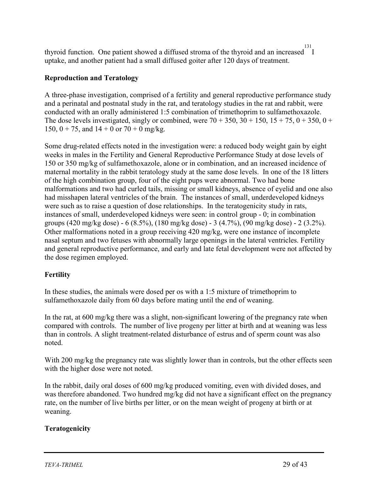thyroid function. One patient showed a diffused stroma of the thyroid and an increased 131 I uptake, and another patient had a small diffused goiter after 120 days of treatment.

## **Reproduction and Teratology**

A three-phase investigation, comprised of a fertility and general reproductive performance study and a perinatal and postnatal study in the rat, and teratology studies in the rat and rabbit, were conducted with an orally administered 1:5 combination of trimethoprim to sulfamethoxazole. The dose levels investigated, singly or combined, were  $70 + 350$ ,  $30 + 150$ ,  $15 + 75$ ,  $0 + 350$ ,  $0 +$ 150,  $0 + 75$ , and  $14 + 0$  or  $70 + 0$  mg/kg.

Some drug-related effects noted in the investigation were: a reduced body weight gain by eight weeks in males in the Fertility and General Reproductive Performance Study at dose levels of 150 or 350 mg/kg of sulfamethoxazole, alone or in combination, and an increased incidence of maternal mortality in the rabbit teratology study at the same dose levels. In one of the 18 litters of the high combination group, four of the eight pups were abnormal. Two had bone malformations and two had curled tails, missing or small kidneys, absence of eyelid and one also had misshapen lateral ventricles of the brain. The instances of small, underdeveloped kidneys were such as to raise a question of dose relationships. In the teratogenicity study in rats, instances of small, underdeveloped kidneys were seen: in control group - 0; in combination groups (420 mg/kg dose) - 6 (8.5%), (180 mg/kg dose) - 3 (4.7%), (90 mg/kg dose) - 2 (3.2%). Other malformations noted in a group receiving 420 mg/kg, were one instance of incomplete nasal septum and two fetuses with abnormally large openings in the lateral ventricles. Fertility and general reproductive performance, and early and late fetal development were not affected by the dose regimen employed.

## **Fertility**

In these studies, the animals were dosed per os with a 1:5 mixture of trimethoprim to sulfamethoxazole daily from 60 days before mating until the end of weaning.

In the rat, at 600 mg/kg there was a slight, non-significant lowering of the pregnancy rate when compared with controls. The number of live progeny per litter at birth and at weaning was less than in controls. A slight treatment-related disturbance of estrus and of sperm count was also noted.

With 200 mg/kg the pregnancy rate was slightly lower than in controls, but the other effects seen with the higher dose were not noted.

In the rabbit, daily oral doses of 600 mg/kg produced vomiting, even with divided doses, and was therefore abandoned. Two hundred mg/kg did not have a significant effect on the pregnancy rate, on the number of live births per litter, or on the mean weight of progeny at birth or at weaning.

## **Teratogenicity**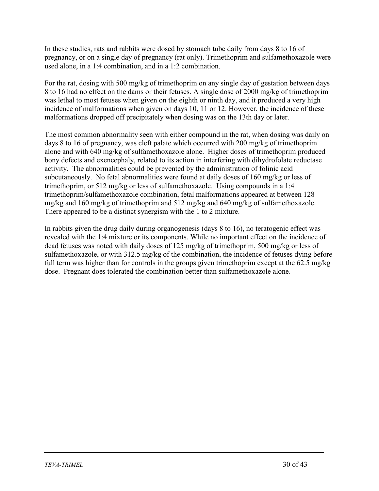In these studies, rats and rabbits were dosed by stomach tube daily from days 8 to 16 of pregnancy, or on a single day of pregnancy (rat only). Trimethoprim and sulfamethoxazole were used alone, in a 1:4 combination, and in a 1:2 combination.

For the rat, dosing with 500 mg/kg of trimethoprim on any single day of gestation between days 8 to 16 had no effect on the dams or their fetuses. A single dose of 2000 mg/kg of trimethoprim was lethal to most fetuses when given on the eighth or ninth day, and it produced a very high incidence of malformations when given on days 10, 11 or 12. However, the incidence of these malformations dropped off precipitately when dosing was on the 13th day or later.

The most common abnormality seen with either compound in the rat, when dosing was daily on days 8 to 16 of pregnancy, was cleft palate which occurred with 200 mg/kg of trimethoprim alone and with 640 mg/kg of sulfamethoxazole alone. Higher doses of trimethoprim produced bony defects and exencephaly, related to its action in interfering with dihydrofolate reductase activity. The abnormalities could be prevented by the administration of folinic acid subcutaneously. No fetal abnormalities were found at daily doses of 160 mg/kg or less of trimethoprim, or 512 mg/kg or less of sulfamethoxazole. Using compounds in a 1:4 trimethoprim/sulfamethoxazole combination, fetal malformations appeared at between 128 mg/kg and 160 mg/kg of trimethoprim and 512 mg/kg and 640 mg/kg of sulfamethoxazole. There appeared to be a distinct synergism with the 1 to 2 mixture.

In rabbits given the drug daily during organogenesis (days 8 to 16), no teratogenic effect was revealed with the 1:4 mixture or its components. While no important effect on the incidence of dead fetuses was noted with daily doses of 125 mg/kg of trimethoprim, 500 mg/kg or less of sulfamethoxazole, or with 312.5 mg/kg of the combination, the incidence of fetuses dying before full term was higher than for controls in the groups given trimethoprim except at the 62.5 mg/kg dose. Pregnant does tolerated the combination better than sulfamethoxazole alone.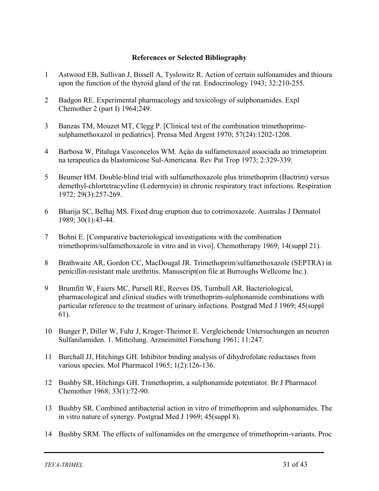### **References or Selected Bibliography**

- 1 Astwood EB, Sullivan J, Bissell A, Tyslowitz R. Action of certain sulfonamides and thioura upon the function of the thyroid gland of the rat. Endocrinology 1943; 32:210-255.
- 2 Badgon RE. Experimental pharmacology and toxicology of sulphonamides. Expl Chemother 2 (part I) 1964;249.
- 3 Banzas TM, Mouzet MT, Clegg P. [Clinical test of the combination trimethoprimesulphamethoxazol in pediatrics]. Prensa Med Argent 1970; 57(24):1202-1208.
- 4 Barbosa W, Pitaluga Vasconcelos WM. Açào da sulfametoxazol associada ao trimetoprim na terapeutica da blastomicose Sul-Americana. Rev Pat Trop 1973; 2:329-339.
- 5 Beumer HM. Double-blind trial with sulfamethoxazole plus trimethoprim (Bactrim) versus demethyl-chlortetracycline (Ledermycin) in chronic respiratory tract infections. Respiration 1972; 29(3):257-269.
- 6 Bharija SC, Belhaj MS. Fixed drug eruption due to cotrimoxazole. Australas J Dermatol 1989; 30(1):43-44.
- 7 Bohni E. [Comparative bacteriological investigations with the combination trimethoprim/sulfamethoxazole in vitro and in vivo]. Chemotherapy 1969; 14(suppl 21).
- 8 Brathwaite AR, Gordon CC, MacDougal JR. Trimethoprim/sulfamethoxazole (SEPTRA) in penicillin-resistant male urethritis. Manuscript(on file at Burroughs Wellcome Inc.).
- 9 Brumfitt W, Faiers MC, Pursell RE, Reeves DS, Turnbull AR. Bacteriological, pharmacological and clinical studies with trimethoprim-sulphonamide combinations with particular reference to the treatment of urinary infections. Postgrad Med J 1969; 45(suppl 61).
- 10 Bunger P, Diller W, Fuhr J, Kruger-Theimer E. Vergleichende Untersuchungen an neueren Sulfanilamiden. 1. Mitteilung. Arzneimittel Forschung 1961; 11:247.
- 11 Burchall JJ, Hitchings GH. Inhibitor binding analysis of dihydrofolate reductases from various species. Mol Pharmacol 1965; 1(2):126-136.
- 12 Bushby SR, Hitchings GH. Trimethoprim, a sulphonamide potentiator. Br J Pharmacol Chemother 1968; 33(1):72-90.
- 13 Bushby SR. Combined antibacterial action in vitro of trimethoprim and sulphonamides. The in vitro nature of synergy. Postgrad Med J 1969; 45(suppl 8).
- 14 Bushby SRM. The effects of sulfonamides on the emergence of trimethoprim-variants. Proc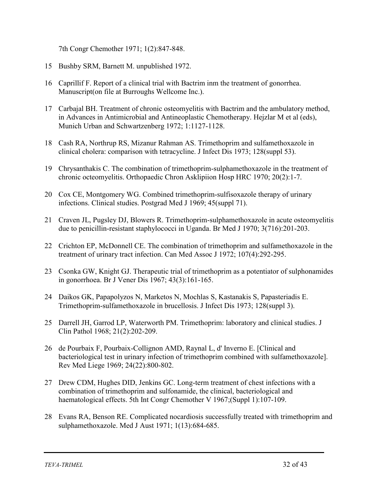7th Congr Chemother 1971; 1(2):847-848.

- 15 Bushby SRM, Barnett M. unpublished 1972.
- 16 Caprillif F. Report of a clinical trial with Bactrim inm the treatment of gonorrhea. Manuscript(on file at Burroughs Wellcome Inc.).
- 17 Carbajal BH. Treatment of chronic osteomyelitis with Bactrim and the ambulatory method, in Advances in Antimicrobial and Antineoplastic Chemotherapy. Hejzlar M et al (eds), Munich Urban and Schwartzenberg 1972; 1:1127-1128.
- 18 Cash RA, Northrup RS, Mizanur Rahman AS. Trimethoprim and sulfamethoxazole in clinical cholera: comparison with tetracycline. J Infect Dis 1973; 128(suppl 53).
- 19 Chrysanthakis C. The combination of trimethoprim-sulphamethoxazole in the treatment of chronic octeomyelitis. Orthopaedic Chron Asklipiion Hosp HRC 1970; 20(2):1-7.
- 20 Cox CE, Montgomery WG. Combined trimethoprim-sulfisoxazole therapy of urinary infections. Clinical studies. Postgrad Med J 1969; 45(suppl 71).
- 21 Craven JL, Pugsley DJ, Blowers R. Trimethoprim-sulphamethoxazole in acute osteomyelitis due to penicillin-resistant staphylococci in Uganda. Br Med J 1970; 3(716):201-203.
- 22 Crichton EP, McDonnell CE. The combination of trimethoprim and sulfamethoxazole in the treatment of urinary tract infection. Can Med Assoc J 1972; 107(4):292-295.
- 23 Csonka GW, Knight GJ. Therapeutic trial of trimethoprim as a potentiator of sulphonamides in gonorrhoea. Br J Vener Dis 1967; 43(3):161-165.
- 24 Daikos GK, Papapolyzos N, Marketos N, Mochlas S, Kastanakis S, Papasteriadis E. Trimethoprim-sulfamethoxazole in brucellosis. J Infect Dis 1973; 128(suppl 3).
- 25 Darrell JH, Garrod LP, Waterworth PM. Trimethoprim: laboratory and clinical studies. J Clin Pathol 1968; 21(2):202-209.
- 26 de Pourbaix F, Pourbaix-Collignon AMD, Raynal L, d' Inverno E. [Clinical and bacteriological test in urinary infection of trimethoprim combined with sulfamethoxazole]. Rev Med Liege 1969; 24(22):800-802.
- 27 Drew CDM, Hughes DID, Jenkins GC. Long-term treatment of chest infections with a combination of trimethoprim and sulfonamide, the clinical, bacteriological and haematological effects. 5th Int Congr Chemother V 1967;(Suppl 1):107-109.
- 28 Evans RA, Benson RE. Complicated nocardiosis successfully treated with trimethoprim and sulphamethoxazole. Med J Aust 1971; 1(13):684-685.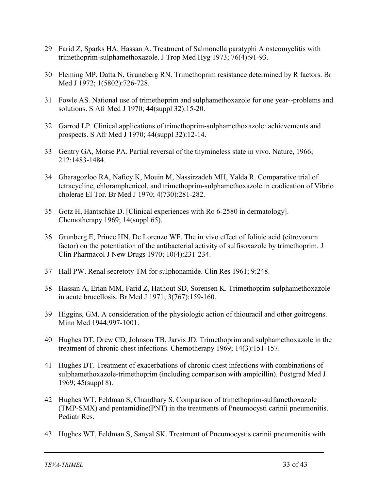- 29 Farid Z, Sparks HA, Hassan A. Treatment of Salmonella paratyphi A osteomyelitis with trimethoprim-sulphamethoxazole. J Trop Med Hyg 1973; 76(4):91-93.
- 30 Fleming MP, Datta N, Gruneberg RN. Trimethoprim resistance determined by R factors. Br Med J 1972; 1(5802):726-728.
- 31 Fowle AS. National use of trimethoprim and sulphamethoxazole for one year--problems and solutions. S Afr Med J 1970; 44(suppl 32):15-20.
- 32 Garrod LP. Clinical applications of trimethoprim-sulphamethoxazole: achievements and prospects. S Afr Med J 1970; 44(suppl 32):12-14.
- 33 Gentry GA, Morse PA. Partial reversal of the thymineless state in vivo. Nature, 1966; 212:1483-1484.
- 34 Gharagozloo RA, Naficy K, Mouin M, Nassirzadeh MH, Yalda R. Comparative trial of tetracycline, chloramphenicol, and trimethoprim-sulphamethoxazole in eradication of Vibrio cholerae El Tor. Br Med J 1970; 4(730):281-282.
- 35 Gotz H, Hantschke D. [Clinical experiences with Ro 6-2580 in dermatology]. Chemotherapy 1969; 14(suppl 65).
- 36 Grunberg E, Prince HN, De Lorenzo WF. The in vivo effect of folinic acid (citrovorum factor) on the potentiation of the antibacterial activity of sulfisoxazole by trimethoprim. J Clin Pharmacol J New Drugs 1970; 10(4):231-234.
- 37 Hall PW. Renal secretoty TM for sulphonamide. Clin Res 1961; 9:248.
- 38 Hassan A, Erian MM, Farid Z, Hathout SD, Sorensen K. Trimethoprim-sulphamethoxazole in acute brucellosis. Br Med J 1971; 3(767):159-160.
- 39 Higgins, GM. A consideration of the physiologic action of thiouracil and other goitrogens. Minn Med 1944;997-1001.
- 40 Hughes DT, Drew CD, Johnson TB, Jarvis JD. Trimethoprim and sulphamethoxazole in the treatment of chronic chest infections. Chemotherapy 1969; 14(3):151-157.
- 41 Hughes DT. Treatment of exacerbations of chronic chest infections with combinations of sulphamethoxazole-trimethoprim (including comparison with ampicillin). Postgrad Med J 1969; 45(suppl 8).
- 42 Hughes WT, Feldman S, Chandhary S. Comparison of trimethoprim-sulfamethoxazole (TMP-SMX) and pentamidine(PNT) in the treatments of Pneumocysti carinii pneumonitis. Pediatr Res.
- 43 Hughes WT, Feldman S, Sanyal SK. Treatment of Pneumocystis carinii pneumonitis with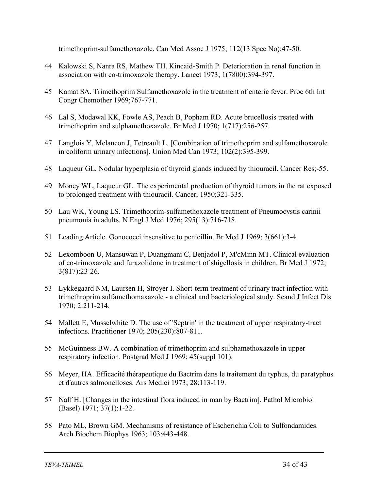trimethoprim-sulfamethoxazole. Can Med Assoc J 1975; 112(13 Spec No):47-50.

- 44 Kalowski S, Nanra RS, Mathew TH, Kincaid-Smith P. Deterioration in renal function in association with co-trimoxazole therapy. Lancet 1973; 1(7800):394-397.
- 45 Kamat SA. Trimethoprim Sulfamethoxazole in the treatment of enteric fever. Proc 6th Int Congr Chemother 1969;767-771.
- 46 Lal S, Modawal KK, Fowle AS, Peach B, Popham RD. Acute brucellosis treated with trimethoprim and sulphamethoxazole. Br Med J 1970; 1(717):256-257.
- 47 Langlois Y, Melancon J, Tetreault L. [Combination of trimethoprim and sulfamethoxazole in coliform urinary infections]. Union Med Can 1973; 102(2):395-399.
- 48 Laqueur GL. Nodular hyperplasia of thyroid glands induced by thiouracil. Cancer Res;-55.
- 49 Money WL, Laqueur GL. The experimental production of thyroid tumors in the rat exposed to prolonged treatment with thiouracil. Cancer, 1950;321-335.
- 50 Lau WK, Young LS. Trimethoprim-sulfamethoxazole treatment of Pneumocystis carinii pneumonia in adults. N Engl J Med 1976; 295(13):716-718.
- 51 Leading Article. Gonococci insensitive to penicillin. Br Med J 1969; 3(661):3-4.
- 52 Lexomboon U, Mansuwan P, Duangmani C, Benjadol P, M'cMinn MT. Clinical evaluation of co-trimoxazole and furazolidone in treatment of shigellosis in children. Br Med J 1972; 3(817):23-26.
- 53 Lykkegaard NM, Laursen H, Stroyer I. Short-term treatment of urinary tract infection with trimethroprim sulfamethomaxazole - a clinical and bacteriological study. Scand J Infect Dis 1970; 2:211-214.
- 54 Mallett E, Musselwhite D. The use of 'Septrin' in the treatment of upper respiratory-tract infections. Practitioner 1970; 205(230):807-811.
- 55 McGuinness BW. A combination of trimethoprim and sulphamethoxazole in upper respiratory infection. Postgrad Med J 1969; 45(suppl 101).
- 56 Meyer, HA. Efficacité thérapeutique du Bactrim dans le traitement du typhus, du paratyphus et d'autres salmonelloses. Ars Medici 1973; 28:113-119.
- 57 Naff H. [Changes in the intestinal flora induced in man by Bactrim]. Pathol Microbiol (Basel) 1971; 37(1):1-22.
- 58 Pato ML, Brown GM. Mechanisms of resistance of Escherichia Coli to Sulfondamides. Arch Biochem Biophys 1963; 103:443-448.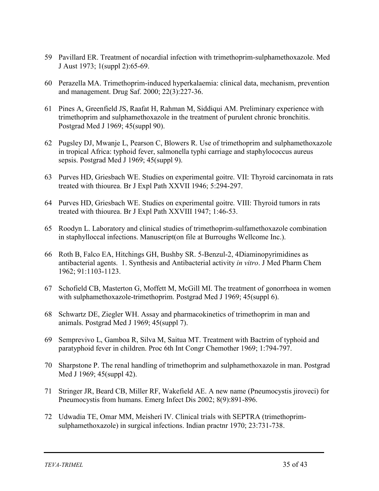- 59 Pavillard ER. Treatment of nocardial infection with trimethoprim-sulphamethoxazole. Med J Aust 1973; 1(suppl 2):65-69.
- 60 Perazella MA. Trimethoprim-induced hyperkalaemia: clinical data, mechanism, prevention and management. Drug Saf. 2000; 22(3):227-36.
- 61 Pines A, Greenfield JS, Raafat H, Rahman M, Siddiqui AM. Preliminary experience with trimethoprim and sulphamethoxazole in the treatment of purulent chronic bronchitis. Postgrad Med J 1969; 45(suppl 90).
- 62 Pugsley DJ, Mwanje L, Pearson C, Blowers R. Use of trimethoprim and sulphamethoxazole in tropical Africa: typhoid fever, salmonella typhi carriage and staphylococcus aureus sepsis. Postgrad Med J 1969; 45(suppl 9).
- 63 Purves HD, Griesbach WE. Studies on experimental goitre. VII: Thyroid carcinomata in rats treated with thiourea. Br J Expl Path XXVII 1946; 5:294-297.
- 64 Purves HD, Griesbach WE. Studies on experimental goitre. VIII: Thyroid tumors in rats treated with thiourea. Br J Expl Path XXVIII 1947; 1:46-53.
- 65 Roodyn L. Laboratory and clinical studies of trimethoprim-sulfamethoxazole combination in staphylloccal infections. Manuscript(on file at Burroughs Wellcome Inc.).
- 66 Roth B, Falco EA, Hitchings GH, Bushby SR. 5-Benzul-2, 4Diaminopyrimidines as antibacterial agents. 1. Synthesis and Antibacterial activity *in vitro*. J Med Pharm Chem 1962; 91:1103-1123.
- 67 Schofield CB, Masterton G, Moffett M, McGill MI. The treatment of gonorrhoea in women with sulphamethoxazole-trimethoprim. Postgrad Med J 1969; 45(suppl 6).
- 68 Schwartz DE, Ziegler WH. Assay and pharmacokinetics of trimethoprim in man and animals. Postgrad Med J 1969; 45(suppl 7).
- 69 Semprevivo L, Gamboa R, Silva M, Saitua MT. Treatment with Bactrim of typhoid and paratyphoid fever in children. Proc 6th Int Congr Chemother 1969; 1:794-797.
- 70 Sharpstone P. The renal handling of trimethoprim and sulphamethoxazole in man. Postgrad Med J 1969; 45(suppl 42).
- 71 Stringer JR, Beard CB, Miller RF, Wakefield AE. A new name (Pneumocystis jiroveci) for Pneumocystis from humans. Emerg Infect Dis 2002; 8(9):891-896.
- 72 Udwadia TE, Omar MM, Meisheri IV. Clinical trials with SEPTRA (trimethoprimsulphamethoxazole) in surgical infections. Indian practnr 1970; 23:731-738.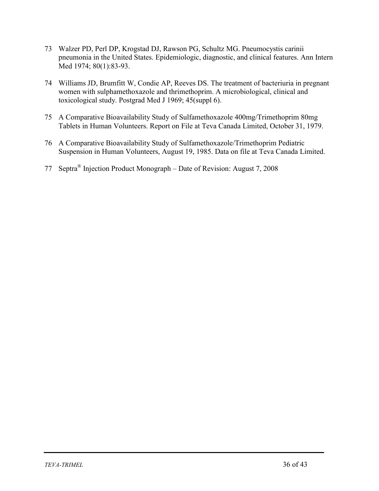- 73 Walzer PD, Perl DP, Krogstad DJ, Rawson PG, Schultz MG. Pneumocystis carinii pneumonia in the United States. Epidemiologic, diagnostic, and clinical features. Ann Intern Med 1974; 80(1):83-93.
- 74 Williams JD, Brumfitt W, Condie AP, Reeves DS. The treatment of bacteriuria in pregnant women with sulphamethoxazole and thrimethoprim. A microbiological, clinical and toxicological study. Postgrad Med J 1969; 45(suppl 6).
- 75 A Comparative Bioavailability Study of Sulfamethoxazole 400mg/Trimethoprim 80mg Tablets in Human Volunteers. Report on File at Teva Canada Limited, October 31, 1979.
- 76 A Comparative Bioavailability Study of Sulfamethoxazole/Trimethoprim Pediatric Suspension in Human Volunteers, August 19, 1985. Data on file at Teva Canada Limited.
- 77 Septra® Injection Product Monograph Date of Revision: August 7, 2008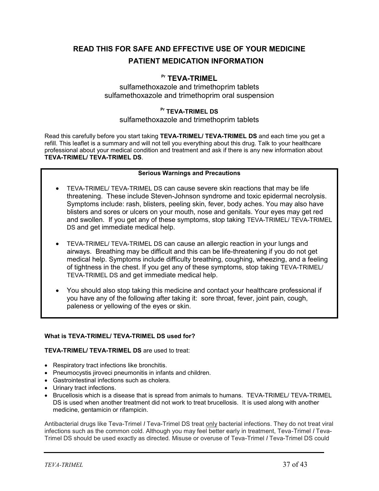## **READ THIS FOR SAFE AND EFFECTIVE USE OF YOUR MEDICINE PATIENT MEDICATION INFORMATION**

## **Pr TEVA-TRIMEL**

## sulfamethoxazole and trimethoprim tablets sulfamethoxazole and trimethoprim oral suspension

### **Pr TEVA-TRIMEL DS**

### sulfamethoxazole and trimethoprim tablets

Read this carefully before you start taking **TEVA-TRIMEL/ TEVA-TRIMEL DS** and each time you get a refill. This leaflet is a summary and will not tell you everything about this drug. Talk to your healthcare professional about your medical condition and treatment and ask if there is any new information about **TEVA-TRIMEL/ TEVA-TRIMEL DS**.

#### **Serious Warnings and Precautions**

- TEVA-TRIMEL/ TEVA-TRIMEL DS can cause severe skin reactions that may be life threatening. These include Steven-Johnson syndrome and toxic epidermal necrolysis. Symptoms include: rash, blisters, peeling skin, fever, body aches. You may also have blisters and sores or ulcers on your mouth, nose and genitals. Your eyes may get red and swollen. If you get any of these symptoms, stop taking TEVA-TRIMEL/ TEVA-TRIMEL DS and get immediate medical help.
- TEVA-TRIMEL/ TEVA-TRIMEL DS can cause an allergic reaction in your lungs and airways. Breathing may be difficult and this can be life-threatening if you do not get medical help. Symptoms include difficulty breathing, coughing, wheezing, and a feeling of tightness in the chest. If you get any of these symptoms, stop taking TEVA-TRIMEL/ TEVA-TRIMEL DS and get immediate medical help.
- You should also stop taking this medicine and contact your healthcare professional if you have any of the following after taking it: sore throat, fever, joint pain, cough, paleness or yellowing of the eyes or skin.

#### **What is TEVA-TRIMEL/ TEVA-TRIMEL DS used for?**

#### **TEVA-TRIMEL/ TEVA-TRIMEL DS** are used to treat:

- Respiratory tract infections like bronchitis.
- Pneumocystis jiroveci pneumonitis in infants and children.
- Gastrointestinal infections such as cholera.
- Urinary tract infections.
- Brucellosis which is a disease that is spread from animals to humans. TEVA-TRIMEL/ TEVA-TRIMEL DS is used when another treatment did not work to treat brucellosis. It is used along with another medicine, gentamicin or rifampicin.

Antibacterial drugs like Teva-Trimel *I* Teva-Trimel DS treat only bacterial infections. They do not treat viral infections such as the common cold. Although you may feel better early in treatment, Teva-Trimel *I* Teva-Trimel DS should be used exactly as directed. Misuse or overuse of Teva-Trimel *I* Teva-Trimel DS could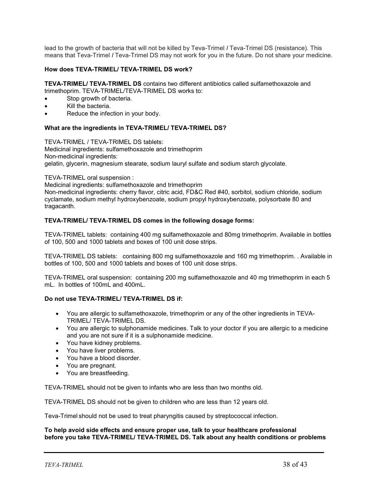lead to the growth of bacteria that will not be killed by Teva-Trimel *I* Teva-Trimel DS (resistance). This means that Teva-Trimel *I* Teva-Trimel DS may not work for you in the future. Do not share your medicine.

#### **How does TEVA-TRIMEL/ TEVA-TRIMEL DS work?**

**TEVA-TRIMEL/ TEVA-TRIMEL DS** contains two different antibiotics called sulfamethoxazole and trimethoprim. TEVA-TRIMEL/TEVA-TRIMEL DS works to:

- Stop growth of bacteria.
- Kill the bacteria.
- Reduce the infection in your body.

#### **What are the ingredients in TEVA-TRIMEL/ TEVA-TRIMEL DS?**

TEVA-TRIMEL / TEVA-TRIMEL DS tablets: Medicinal ingredients: sulfamethoxazole and trimethoprim Non-medicinal ingredients: gelatin, glycerin, magnesium stearate, sodium lauryl sulfate and sodium starch glycolate.

TEVA-TRIMEL oral suspension :

Medicinal ingredients: sulfamethoxazole and trimethoprim

Non-medicinal ingredients: cherry flavor, citric acid, FD&C Red #40, sorbitol, sodium chloride, sodium cyclamate, sodium methyl hydroxybenzoate, sodium propyl hydroxybenzoate, polysorbate 80 and tragacanth.

#### **TEVA-TRIMEL/ TEVA-TRIMEL DS comes in the following dosage forms:**

TEVA-TRIMEL tablets: containing 400 mg sulfamethoxazole and 80mg trimethoprim. Available in bottles of 100, 500 and 1000 tablets and boxes of 100 unit dose strips.

TEVA-TRIMEL DS tablets: containing 800 mg sulfamethoxazole and 160 mg trimethoprim. . Available in bottles of 100, 500 and 1000 tablets and boxes of 100 unit dose strips.

TEVA-TRIMEL oral suspension: containing 200 mg sulfamethoxazole and 40 mg trimethoprim in each 5 mL. In bottles of 100mL and 400mL.

#### **Do not use TEVA-TRIMEL/ TEVA-TRIMEL DS if:**

- You are allergic to sulfamethoxazole, trimethoprim or any of the other ingredients in TEVA-TRIMEL/ TEVA-TRIMEL DS.
- You are allergic to sulphonamide medicines. Talk to your doctor if you are allergic to a medicine and you are not sure if it is a sulphonamide medicine.
- You have kidney problems.
- You have liver problems.
- You have a blood disorder.
- You are pregnant.
- You are breastfeeding.

TEVA-TRIMEL should not be given to infants who are less than two months old.

TEVA-TRIMEL DS should not be given to children who are less than 12 years old.

Teva-Trimel should not be used to treat pharyngitis caused by streptococcal infection.

#### **To help avoid side effects and ensure proper use, talk to your healthcare professional before you take TEVA-TRIMEL/ TEVA-TRIMEL DS. Talk about any health conditions or problems**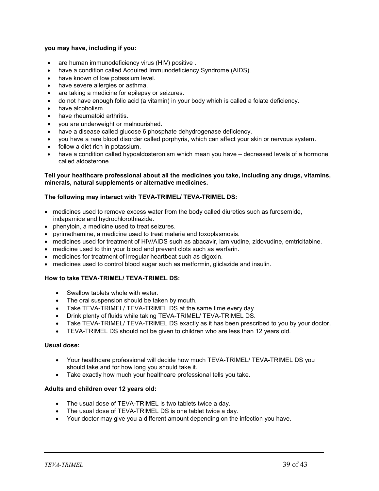#### **you may have, including if you:**

- are human immunodeficiency virus (HIV) positive .
- have a condition called Acquired Immunodeficiency Syndrome (AIDS).
- have known of low potassium level.
- have severe allergies or asthma.
- are taking a medicine for epilepsy or seizures.
- do not have enough folic acid (a vitamin) in your body which is called a folate deficiency.
- have alcoholism.
- have rheumatoid arthritis.
- vou are underweight or malnourished.
- have a disease called glucose 6 phosphate dehydrogenase deficiency.
- you have a rare blood disorder called porphyria, which can affect your skin or nervous system.
- follow a diet rich in potassium.
- have a condition called hypoaldosteronism which mean you have decreased levels of a hormone called aldosterone.

#### **Tell your healthcare professional about all the medicines you take, including any drugs, vitamins, minerals, natural supplements or alternative medicines.**

#### **The following may interact with TEVA-TRIMEL/ TEVA-TRIMEL DS:**

- medicines used to remove excess water from the body called diuretics such as furosemide, indapamide and hydrochlorothiazide.
- phenytoin, a medicine used to treat seizures.
- pyrimethamine, a medicine used to treat malaria and toxoplasmosis.
- medicines used for treatment of HIV/AIDS such as abacavir, lamivudine, zidovudine, emtricitabine.
- medicine used to thin your blood and prevent clots such as warfarin.
- medicines for treatment of irregular heartbeat such as digoxin.
- medicines used to control blood sugar such as metformin, gliclazide and insulin.

#### **How to take TEVA-TRIMEL/ TEVA-TRIMEL DS:**

- Swallow tablets whole with water.
- The oral suspension should be taken by mouth.
- Take TEVA-TRIMEL/ TEVA-TRIMEL DS at the same time every day.
- Drink plenty of fluids while taking TEVA-TRIMEL/ TEVA-TRIMEL DS.
- Take TEVA-TRIMEL/ TEVA-TRIMEL DS exactly as it has been prescribed to you by your doctor.
- TEVA-TRIMEL DS should not be given to children who are less than 12 years old.

#### **Usual dose:**

- Your healthcare professional will decide how much TEVA-TRIMEL/ TEVA-TRIMEL DS you should take and for how long you should take it.
- Take exactly how much your healthcare professional tells you take.

#### **Adults and children over 12 years old:**

- The usual dose of TEVA-TRIMEL is two tablets twice a day.
- The usual dose of TEVA-TRIMEL DS is one tablet twice a day.
- Your doctor may give you a different amount depending on the infection you have.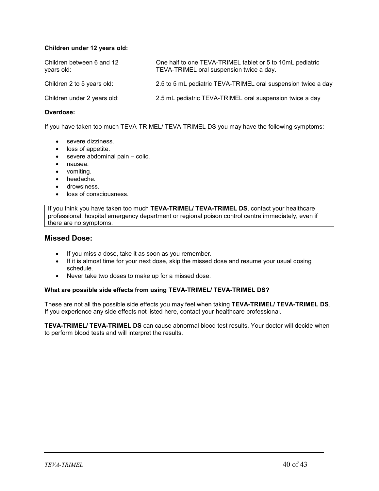### **Children under 12 years old:**

| Children between 6 and 12<br>years old: | One half to one TEVA-TRIMEL tablet or 5 to 10mL pediatric<br>TEVA-TRIMEL oral suspension twice a day. |
|-----------------------------------------|-------------------------------------------------------------------------------------------------------|
| Children 2 to 5 years old:              | 2.5 to 5 mL pediatric TEVA-TRIMEL oral suspension twice a day                                         |
| Children under 2 years old:             | 2.5 mL pediatric TEVA-TRIMEL oral suspension twice a day                                              |

#### **Overdose:**

If you have taken too much TEVA-TRIMEL/ TEVA-TRIMEL DS you may have the following symptoms:

- severe dizziness.
- loss of appetite.
- severe abdominal pain colic.
- nausea.
- vomiting.
- headache.
- drowsiness.
- loss of consciousness.

If you think you have taken too much **TEVA-TRIMEL/ TEVA-TRIMEL DS**, contact your healthcare professional, hospital emergency department or regional poison control centre immediately, even if there are no symptoms.

#### **Missed Dose:**

- If you miss a dose, take it as soon as you remember.
- If it is almost time for your next dose, skip the missed dose and resume your usual dosing schedule.
- Never take two doses to make up for a missed dose.

#### **What are possible side effects from using TEVA-TRIMEL/ TEVA-TRIMEL DS?**

These are not all the possible side effects you may feel when taking **TEVA-TRIMEL/ TEVA-TRIMEL DS**. If you experience any side effects not listed here, contact your healthcare professional.

**TEVA-TRIMEL/ TEVA-TRIMEL DS** can cause abnormal blood test results. Your doctor will decide when to perform blood tests and will interpret the results.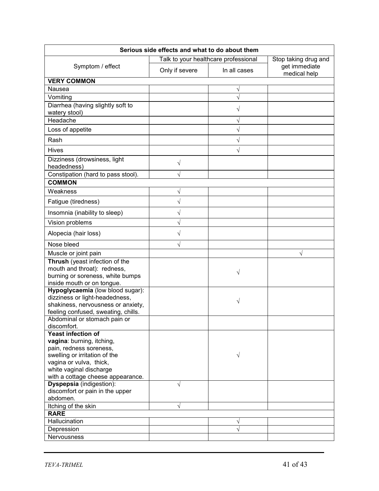| Serious side effects and what to do about them                                                                                                  |                |                                      |                                                       |  |  |  |
|-------------------------------------------------------------------------------------------------------------------------------------------------|----------------|--------------------------------------|-------------------------------------------------------|--|--|--|
| Symptom / effect                                                                                                                                |                | Talk to your healthcare professional | Stop taking drug and<br>get immediate<br>medical help |  |  |  |
|                                                                                                                                                 | Only if severe | In all cases                         |                                                       |  |  |  |
| <b>VERY COMMON</b>                                                                                                                              |                |                                      |                                                       |  |  |  |
| Nausea                                                                                                                                          |                | V                                    |                                                       |  |  |  |
| Vomiting                                                                                                                                        |                |                                      |                                                       |  |  |  |
| Diarrhea (having slightly soft to<br>watery stool)                                                                                              |                | $\sqrt{}$                            |                                                       |  |  |  |
| Headache                                                                                                                                        |                | V                                    |                                                       |  |  |  |
| Loss of appetite                                                                                                                                |                | $\sqrt{}$                            |                                                       |  |  |  |
| Rash                                                                                                                                            |                | $\sqrt{}$                            |                                                       |  |  |  |
| <b>Hives</b>                                                                                                                                    |                | $\sqrt{}$                            |                                                       |  |  |  |
| Dizziness (drowsiness, light<br>headedness)                                                                                                     | V              |                                      |                                                       |  |  |  |
| Constipation (hard to pass stool).                                                                                                              | V              |                                      |                                                       |  |  |  |
| <b>COMMON</b>                                                                                                                                   |                |                                      |                                                       |  |  |  |
| Weakness                                                                                                                                        | V              |                                      |                                                       |  |  |  |
| Fatigue (tiredness)                                                                                                                             | $\sqrt{}$      |                                      |                                                       |  |  |  |
| Insomnia (inability to sleep)                                                                                                                   | $\sqrt{}$      |                                      |                                                       |  |  |  |
| Vision problems                                                                                                                                 | $\sqrt{}$      |                                      |                                                       |  |  |  |
| Alopecia (hair loss)                                                                                                                            | V              |                                      |                                                       |  |  |  |
| Nose bleed                                                                                                                                      | V              |                                      |                                                       |  |  |  |
| Muscle or joint pain                                                                                                                            |                |                                      | V                                                     |  |  |  |
| Thrush (yeast infection of the<br>mouth and throat): redness,<br>burning or soreness, white bumps<br>inside mouth or on tongue.                 |                | V                                    |                                                       |  |  |  |
| Hypoglycaemia (low blood sugar):<br>dizziness or light-headedness,<br>shakiness, nervousness or anxiety,<br>feeling confused, sweating, chills. |                | V                                    |                                                       |  |  |  |
| Abdominal or stomach pain or<br>discomfort.                                                                                                     |                |                                      |                                                       |  |  |  |
| <b>Yeast infection of</b><br>vagina: burning, itching,<br>pain, redness soreness,<br>swelling or irritation of the                              |                | V                                    |                                                       |  |  |  |
| vagina or vulva, thick,<br>white vaginal discharge<br>with a cottage cheese appearance.                                                         |                |                                      |                                                       |  |  |  |
| Dyspepsia (indigestion):<br>discomfort or pain in the upper<br>abdomen.                                                                         | V              |                                      |                                                       |  |  |  |
| Itching of the skin                                                                                                                             | V              |                                      |                                                       |  |  |  |
| <b>RARE</b>                                                                                                                                     |                |                                      |                                                       |  |  |  |
| Hallucination                                                                                                                                   |                | V                                    |                                                       |  |  |  |
| Depression                                                                                                                                      |                |                                      |                                                       |  |  |  |
| Nervousness                                                                                                                                     |                |                                      |                                                       |  |  |  |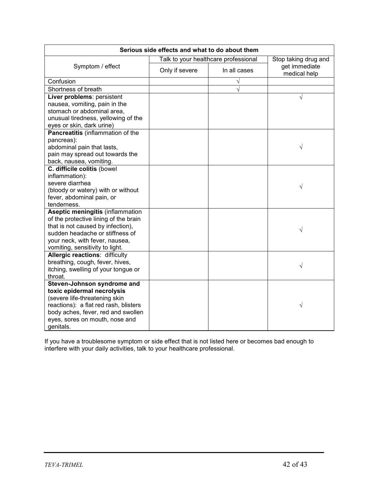| Serious side effects and what to do about them                                                                                                                                                                                 |                |                                      |                                                       |  |  |
|--------------------------------------------------------------------------------------------------------------------------------------------------------------------------------------------------------------------------------|----------------|--------------------------------------|-------------------------------------------------------|--|--|
| Symptom / effect                                                                                                                                                                                                               |                | Talk to your healthcare professional | Stop taking drug and<br>get immediate<br>medical help |  |  |
|                                                                                                                                                                                                                                | Only if severe | In all cases                         |                                                       |  |  |
| Confusion                                                                                                                                                                                                                      |                | V                                    |                                                       |  |  |
| Shortness of breath                                                                                                                                                                                                            |                | $\sqrt{}$                            |                                                       |  |  |
| Liver problems: persistent<br>nausea, vomiting, pain in the<br>stomach or abdominal area,<br>unusual tiredness, yellowing of the<br>eyes or skin, dark urine)                                                                  |                |                                      | V                                                     |  |  |
| Pancreatitis (inflammation of the<br>pancreas):<br>abdominal pain that lasts,<br>pain may spread out towards the<br>back, nausea, vomiting.                                                                                    |                |                                      | V                                                     |  |  |
| C. difficile colitis (bowel<br>inflammation):<br>severe diarrhea<br>(bloody or watery) with or without<br>fever, abdominal pain, or<br>tenderness.                                                                             |                |                                      | V                                                     |  |  |
| <b>Aseptic meningitis (inflammation)</b><br>of the protective lining of the brain<br>that is not caused by infection),<br>sudden headache or stiffness of<br>your neck, with fever, nausea,<br>vomiting, sensitivity to light. |                |                                      | V                                                     |  |  |
| Allergic reactions: difficulty<br>breathing, cough, fever, hives,<br>itching, swelling of your tongue or<br>throat.                                                                                                            |                |                                      | V                                                     |  |  |
| Steven-Johnson syndrome and<br>toxic epidermal necrolysis<br>(severe life-threatening skin<br>reactions): a flat red rash, blisters<br>body aches, fever, red and swollen<br>eyes, sores on mouth, nose and<br>genitals.       |                |                                      | V                                                     |  |  |

If you have a troublesome symptom or side effect that is not listed here or becomes bad enough to interfere with your daily activities, talk to your healthcare professional.